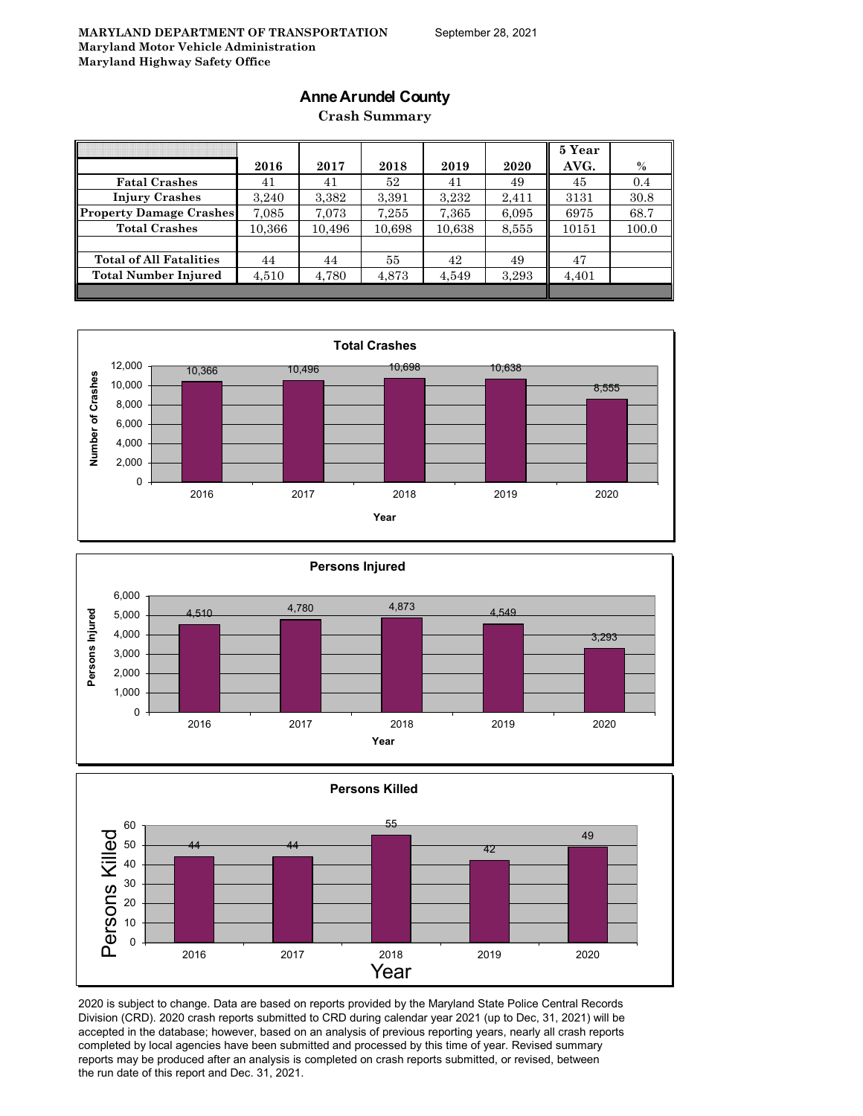## **Anne Arundel County**

**Crash Summary**

|                                |        |        |        |        |       | 5 Year |       |
|--------------------------------|--------|--------|--------|--------|-------|--------|-------|
|                                | 2016   | 2017   | 2018   | 2019   | 2020  | AVG.   | $\%$  |
| <b>Fatal Crashes</b>           | 41     | 41     | 52     | 41     | 49    | 45     | 0.4   |
| <b>Injury Crashes</b>          | 3.240  | 3,382  | 3,391  | 3.232  | 2,411 | 3131   | 30.8  |
| <b>Property Damage Crashes</b> | 7,085  | 7,073  | 7,255  | 7,365  | 6,095 | 6975   | 68.7  |
| <b>Total Crashes</b>           | 10,366 | 10,496 | 10,698 | 10,638 | 8,555 | 10151  | 100.0 |
|                                |        |        |        |        |       |        |       |
| <b>Total of All Fatalities</b> | 44     | 44     | 55     | 42     | 49    | 47     |       |
| <b>Total Number Injured</b>    | 4,510  | 4,780  | 4,873  | 4,549  | 3,293 | 4,401  |       |
|                                |        |        |        |        |       |        |       |







2020 is subject to change. Data are based on reports provided by the Maryland State Police Central Records Division (CRD). 2020 crash reports submitted to CRD during calendar year 2021 (up to Dec, 31, 2021) will be accepted in the database; however, based on an analysis of previous reporting years, nearly all crash reports completed by local agencies have been submitted and processed by this time of year. Revised summary reports may be produced after an analysis is completed on crash reports submitted, or revised, between the run date of this report and Dec. 31, 2021.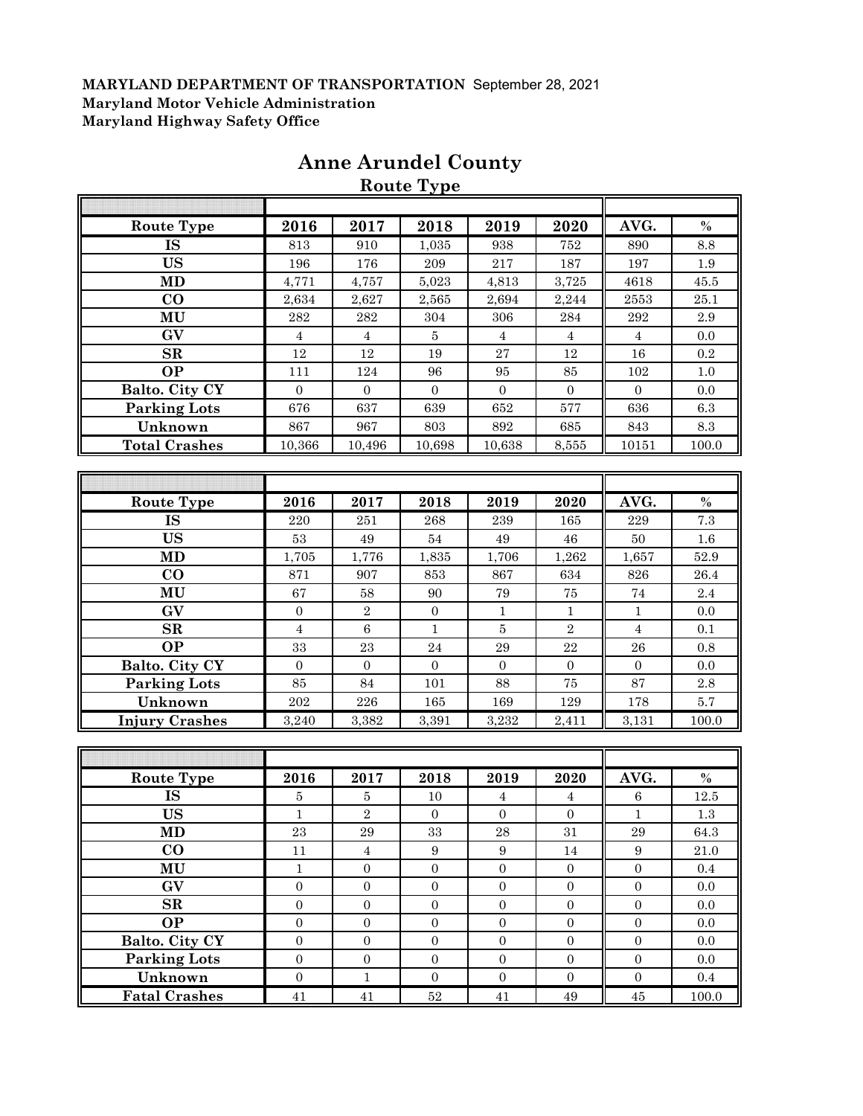|                       |                  |                  | <b>Route Type</b> |                  |                  |                  |                 |
|-----------------------|------------------|------------------|-------------------|------------------|------------------|------------------|-----------------|
|                       |                  |                  |                   |                  |                  |                  |                 |
| <b>Route Type</b>     | 2016             | 2017             | 2018              | 2019             | 2020             | AVG.             | $\%$            |
| IS                    | 813              | 910              | 1,035             | 938              | 752              | 890              | 8.8             |
| <b>US</b>             | 196              | 176              | 209               | $217\,$          | 187              | 197              | 1.9             |
| <b>MD</b>             | 4,771            | 4,757            | 5,023             | 4,813            | 3,725            | 4618             | 45.5            |
| CO                    | 2,634            | 2,627            | 2,565             | 2,694            | 2,244            | 2553             | 25.1            |
| MU                    | 282              | $\bf 282$        | 304               | 306              | 284              | 292              | 2.9             |
| GV                    | $\sqrt{4}$       | $\sqrt{4}$       | 5                 | $\overline{4}$   | $\boldsymbol{4}$ | $\overline{4}$   | 0.0             |
| SR                    | 12               | 12               | 19                | 27               | 12               | 16               | 0.2             |
| <b>OP</b>             | 111              | 124              | 96                | 95               | 85               | 102              | 1.0             |
| Balto. City CY        | $\overline{0}$   | $\mathbf{0}$     | $\overline{0}$    | $\overline{0}$   | $\overline{0}$   | $\mathbf{0}$     | 0.0             |
| <b>Parking Lots</b>   | 676              | 637              | 639               | 652              | 577              | 636              | $6.3\,$         |
| Unknown               | 867              | 967              | 803               | 892              | 685              | 843              | $\!\!\!\!\!8.3$ |
| <b>Total Crashes</b>  | 10,366           | 10,496           | 10,698            | 10,638           | 8,555            | 10151            | 100.0           |
|                       |                  |                  |                   |                  |                  |                  |                 |
|                       |                  |                  |                   |                  |                  |                  |                 |
| <b>Route Type</b>     | 2016             | 2017             | 2018              | 2019             | 2020             | AVG.             | $\%$            |
| <b>IS</b>             | 220              | 251              | 268               | 239              | 165              | 229              | 7.3             |
| <b>US</b>             | $53\,$           | 49               | ${\bf 54}$        | 49               | $\sqrt{46}$      | 50               | $1.6\,$         |
| <b>MD</b>             | 1,705            | 1,776            | 1,835             | 1,706            | 1,262            | 1,657            | 52.9            |
| $\bf CO$              | 871              | 907              | 853               | 867              | 634              | 826              | 26.4            |
| MU                    | 67               | 58               | 90                | 79               | 75               | 74               | 2.4             |
| GV                    | $\overline{0}$   | $\,2$            | $\boldsymbol{0}$  | $\mathbf{1}$     | $\mathbf{1}$     | $\mathbf{1}$     | 0.0             |
| $\mathbf{SR}$         | $\sqrt{4}$       | $\,6$            | $\mathbf{1}$      | $\bf 5$          | $\sqrt{2}$       | $\sqrt{4}$       | 0.1             |
| <b>OP</b>             | 33               | 23               | 24                | 29               | 22               | 26               | 0.8             |
| Balto. City CY        | $\boldsymbol{0}$ | $\boldsymbol{0}$ | $\boldsymbol{0}$  | $\mathbf{0}$     | $\overline{0}$   | $\boldsymbol{0}$ | 0.0             |
| <b>Parking Lots</b>   | 85               | 84               | 101               | 88               | 75               | 87               | $2.8\,$         |
| Unknown               | 202              | $\bf 226$        | 165               | 169              | 129              | 178              | 5.7             |
| <b>Injury Crashes</b> | 3,240            | 3,382            | 3,391             | 3,232            | 2,411            | 3,131            | 100.0           |
|                       |                  |                  |                   |                  |                  |                  |                 |
|                       |                  |                  |                   |                  |                  |                  |                 |
| Route Type            | 2016             | 2017             | 2018              | 2019             | 2020             | AVG.             | $\%$            |
| <b>IS</b>             | $\bf 5$          | 5                | 10                | $\overline{4}$   | $\overline{4}$   | $\,6\,$          | $12.5\,$        |
| <b>US</b>             | $\perp$          | $\mathbf{z}$     | U                 | $\upsilon$       | $\upsilon$       | $\perp$          | 1.3             |
| MD                    | 23               | 29               | $33\,$            | 28               | 31               | 29               | 64.3            |
| $\mathbf{CO}$         | $11\,$           | $\bf{4}$         | $\boldsymbol{9}$  | $\boldsymbol{9}$ | $14\,$           | $\boldsymbol{9}$ | $21.0\,$        |
| MU                    | $\mathbf{1}$     | $\boldsymbol{0}$ | $\boldsymbol{0}$  | $\boldsymbol{0}$ | $\boldsymbol{0}$ | $\boldsymbol{0}$ | 0.4             |
| GV                    | $\boldsymbol{0}$ | $\boldsymbol{0}$ | $\boldsymbol{0}$  | $\boldsymbol{0}$ | $\boldsymbol{0}$ | $\boldsymbol{0}$ | 0.0             |
| ${\bf SR}$            | $\boldsymbol{0}$ | $\boldsymbol{0}$ | $\boldsymbol{0}$  | $\boldsymbol{0}$ | $\boldsymbol{0}$ | $\boldsymbol{0}$ | 0.0             |
| <b>OP</b>             | $\boldsymbol{0}$ | $\boldsymbol{0}$ | $\boldsymbol{0}$  | $\boldsymbol{0}$ | $\boldsymbol{0}$ | $\boldsymbol{0}$ | 0.0             |
| Balto. City CY        | $\boldsymbol{0}$ | $\boldsymbol{0}$ | $\boldsymbol{0}$  | $\boldsymbol{0}$ | $\boldsymbol{0}$ | $\boldsymbol{0}$ | $0.0\,$         |
| <b>Parking Lots</b>   | $\boldsymbol{0}$ | $\boldsymbol{0}$ | $\boldsymbol{0}$  | $\mathbf{0}$     | $\boldsymbol{0}$ | $\boldsymbol{0}$ | 0.0             |
| Unknown               | $\boldsymbol{0}$ | $\mathbf{1}$     | $\boldsymbol{0}$  | $\overline{0}$   | $\boldsymbol{0}$ | $\boldsymbol{0}$ | $0.4\,$         |
| <b>Fatal Crashes</b>  | $41\,$           | $41\,$           | $52\,$            | $41\,$           | $\rm 49$         | $\rm 45$         | 100.0           |
|                       |                  |                  |                   |                  |                  |                  |                 |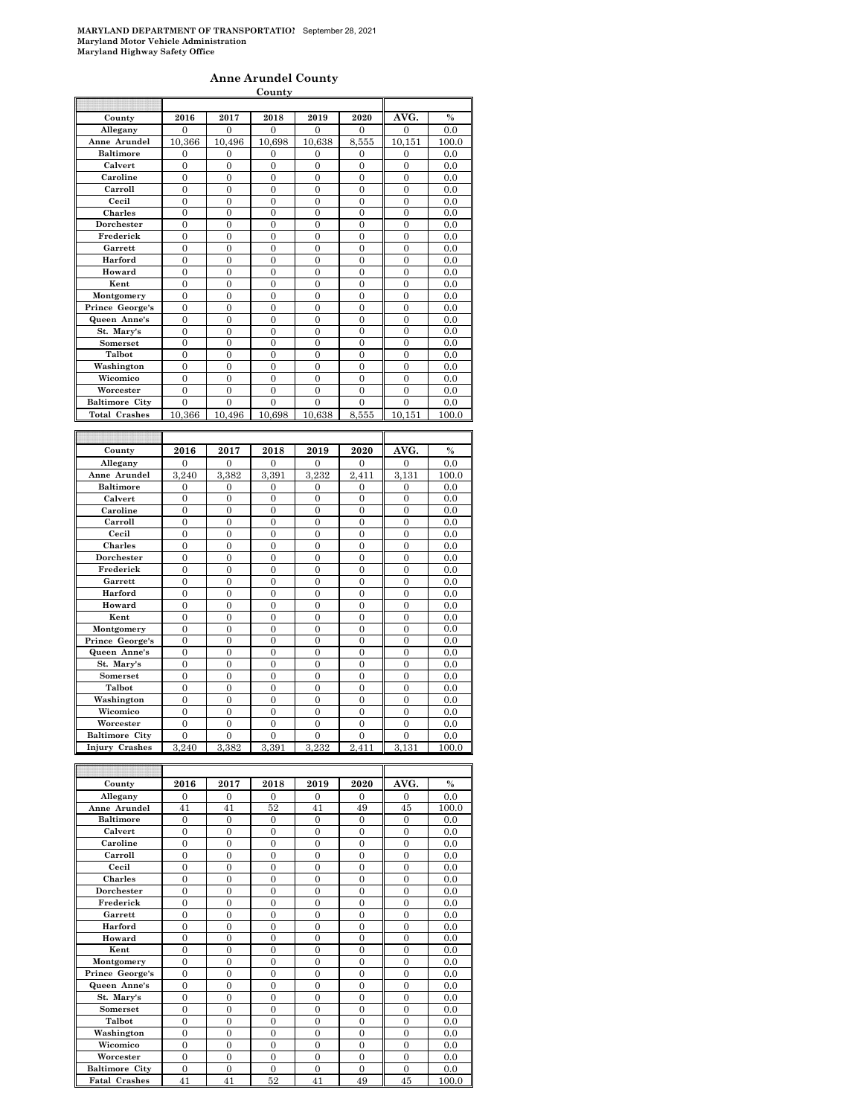|                       |                  |                | <u>County</u>    |                |                |                  |       |
|-----------------------|------------------|----------------|------------------|----------------|----------------|------------------|-------|
|                       |                  |                |                  |                |                |                  |       |
| County                | 2016             | 2017           | 2018             | 2019           | 2020           | AVG.             | $\%$  |
| Allegany              | 0                | $\overline{0}$ | $\mathbf{0}$     | 0              | $\overline{0}$ | 0                | 0.0   |
| Anne Arundel          | 10,366           | 10,496         | 10,698           | 10,638         | 8,555          | 10,151           | 100.0 |
| <b>Baltimore</b>      | 0                | $\overline{0}$ | $\overline{0}$   | $\overline{0}$ | $\overline{0}$ | $\overline{0}$   | 0.0   |
| Calvert               | $\boldsymbol{0}$ | 0              | 0                | 0              | $\bf{0}$       | 0                | 0.0   |
| Caroline              | 0                | $\overline{0}$ | $\overline{0}$   | $\overline{0}$ | $\overline{0}$ | $\overline{0}$   | 0.0   |
| Carroll               | $\overline{0}$   | $\overline{0}$ | $\overline{0}$   | $\theta$       | $\overline{0}$ | $\overline{0}$   | 0.0   |
| Cecil                 | 0                | $\mathbf{0}$   | $\boldsymbol{0}$ | $\mathbf{0}$   | $\mathbf{0}$   | $\boldsymbol{0}$ | 0.0   |
| Charles               | $\overline{0}$   | $\overline{0}$ | $\overline{0}$   | $\overline{0}$ | $\overline{0}$ | $\overline{0}$   | 0.0   |
| Dorchester            | $\overline{0}$   | $\theta$       | $\overline{0}$   | $\theta$       | $\theta$       | $\overline{0}$   | 0.0   |
| Frederick             | $\overline{0}$   | $\overline{0}$ | $\overline{0}$   | $\overline{0}$ | $\overline{0}$ | $\mathbf{0}$     | 0.0   |
| Garrett               | $\overline{0}$   | $\overline{0}$ | $\overline{0}$   | $\overline{0}$ | $\overline{0}$ | $\overline{0}$   | 0.0   |
| Harford               | 0                | $\overline{0}$ | $\mathbf{0}$     | $\overline{0}$ | $\overline{0}$ | $\mathbf{0}$     | 0.0   |
| Howard                | 0                | $\overline{0}$ | $\overline{0}$   | $\overline{0}$ | $\overline{0}$ | $\overline{0}$   | 0.0   |
| Kent                  | $\overline{0}$   | $\overline{0}$ | $\overline{0}$   | $\overline{0}$ | $\overline{0}$ | $\overline{0}$   | 0.0   |
| Montgomery            | $\overline{0}$   | $\overline{0}$ | $\mathbf{0}$     | 0              | 0              | $\overline{0}$   | 0.0   |
| Prince George's       | $\overline{0}$   | $\overline{0}$ | $\overline{0}$   | $\overline{0}$ | $\overline{0}$ | $\overline{0}$   | 0.0   |
| Queen Anne's          | $\overline{0}$   | $\overline{0}$ | $\overline{0}$   | $\overline{0}$ | $\overline{0}$ | $\overline{0}$   | 0.0   |
| St. Mary's            | 0                | $\overline{0}$ | $\overline{0}$   | $\overline{0}$ | $\overline{0}$ | $\overline{0}$   | 0.0   |
| Somerset              | 0                | $\overline{0}$ | $\mathbf{0}$     | $\overline{0}$ | $\overline{0}$ | $\mathbf{0}$     | 0.0   |
| Talbot                | $\overline{0}$   | $\overline{0}$ | $\overline{0}$   | $\overline{0}$ | $\overline{0}$ | $\overline{0}$   | 0.0   |
| Washington            | $\theta$         | $\overline{0}$ | $\overline{0}$   | $\theta$       | $\mathbf{0}$   | $\theta$         | 0.0   |
| Wicomico              | $\boldsymbol{0}$ | $\overline{0}$ | $\boldsymbol{0}$ | $\mathbf{0}$   | $\mathbf{0}$   | $\boldsymbol{0}$ | 0.0   |
| Worcester             | $\overline{0}$   | $\overline{0}$ | $\overline{0}$   | $\overline{0}$ | $\overline{0}$ | $\overline{0}$   | 0.0   |
| <b>Baltimore City</b> | 0                | $\Omega$       | $\Omega$         | $\theta$       | $\theta$       | $\Omega$         | 0.0   |
| <b>Total Crashes</b>  | 10,366           | 10,496         | 10,698           | 10,638         | 8,555          | 10,151           | 100.0 |
|                       |                  |                |                  |                |                |                  |       |
|                       |                  |                |                  |                |                |                  |       |
|                       |                  |                |                  |                |                |                  |       |
| County                | 2016             | 2017           | 2018             | 2019           | 2020           | AVG.             | $\%$  |
| Allegany              | $\Omega$         | $\Omega$       | $\Omega$         | $\theta$       | $\theta$       | $\theta$         | 0.0   |
| Anne Arundel          | 3,240            | 3,382          | 3,391            | 3,232          | 2,411          | 3,131            | 100.0 |
| <b>Baltimore</b>      | $\boldsymbol{0}$ | $\overline{0}$ | $\boldsymbol{0}$ | $\mathbf{0}$   | $\overline{0}$ | $\boldsymbol{0}$ | 0.0   |
| Calvert               | $\overline{0}$   | $\overline{0}$ | $\overline{0}$   | $\overline{0}$ | $\overline{0}$ | $\overline{0}$   | 0.0   |
| Caroline              | $\overline{0}$   | $\overline{0}$ | $\overline{0}$   | $\overline{0}$ | $\overline{0}$ | $\overline{0}$   | 0.0   |
| Carroll               | $\mathbf{0}$     | $\overline{0}$ | $\boldsymbol{0}$ | $\overline{0}$ | $\mathbf{0}$   | $\boldsymbol{0}$ | 0.0   |
| Cecil                 | $\overline{0}$   | $\overline{0}$ | $\overline{0}$   | $\overline{0}$ | $\overline{0}$ | $\overline{0}$   | 0.0   |
| Charles               | 0                | $\overline{0}$ | $\overline{0}$   | $\overline{0}$ | $\overline{0}$ | $\overline{0}$   | 0.0   |
| Dorchester            | 0                | $\overline{0}$ | $\overline{0}$   | $\overline{0}$ | $\overline{0}$ | $\overline{0}$   | 0.0   |
| Frederick             | $\overline{0}$   | $\overline{0}$ | $\overline{0}$   | $\overline{0}$ | $\overline{0}$ | $\overline{0}$   | 0.0   |
| Garrett               | 0                | $\mathbf{0}$   | $\boldsymbol{0}$ | 0              | 0              | $\boldsymbol{0}$ | 0.0   |
| Harford               | $\overline{0}$   | $\overline{0}$ | $\overline{0}$   | $\overline{0}$ | $\overline{0}$ | $\overline{0}$   | 0.0   |
| Howard                | $\overline{0}$   | $\overline{0}$ | $\overline{0}$   | $\overline{0}$ | $\overline{0}$ | $\overline{0}$   | 0.0   |
| Kent                  | $\boldsymbol{0}$ | $\mathbf{0}$   | $\boldsymbol{0}$ | $\mathbf{0}$   | $\mathbf{0}$   | $\boldsymbol{0}$ | 0.0   |
| Montgomery            | $\overline{0}$   | $\overline{0}$ | $\overline{0}$   | $\overline{0}$ | $\overline{0}$ | $\overline{0}$   | 0.0   |
| Prince George's       | $\overline{0}$   | $\overline{0}$ | $\overline{0}$   | $\theta$       | $\theta$       | $\theta$         | 0.0   |
| Queen Anne's          | $\mathbf{0}$     | $\overline{0}$ | $\boldsymbol{0}$ | $\mathbf{0}$   | $\mathbf{0}$   | $\mathbf{0}$     | 0.0   |
| St. Mary's            | $\overline{0}$   | $\mathbf{0}$   | $\mathbf{0}$     | $\overline{0}$ | 0              | $\boldsymbol{0}$ | 0.0   |
| Somerset              | $\overline{0}$   | $\overline{0}$ | $\overline{0}$   | $\overline{0}$ | $\overline{0}$ | $\overline{0}$   | 0.0   |
| Talbot                | $\overline{0}$   | $\overline{0}$ | $\boldsymbol{0}$ | $\overline{0}$ | $\overline{0}$ | $\boldsymbol{0}$ | 0.0   |
| Washington            | 0                | $\mathbf{0}$   | $\mathbf{0}$     | $\mathbf{0}$   | $\mathbf{0}$   | $\boldsymbol{0}$ | 0.0   |
| Wicomico              | $\overline{0}$   | $\overline{0}$ | $\overline{0}$   | $\overline{0}$ | $\overline{0}$ | $\overline{0}$   | 0.0   |
| Worcester             | $\overline{0}$   | $\overline{0}$ | $\overline{0}$   | $\overline{0}$ | $\overline{0}$ | $\overline{0}$   | 0.0   |
| <b>Baltimore City</b> | 0<br>3,240       | $\mathbf{0}$   | $\boldsymbol{0}$ | $\mathbf{0}$   | $\mathbf{0}$   | $\mathbf{0}$     | 0.0   |

| County                | 2016           | 2017     | 2018     | 2019     | 2020           | AVG.           | $\frac{0}{2}$ |
|-----------------------|----------------|----------|----------|----------|----------------|----------------|---------------|
| Allegany              | $\Omega$       | $\Omega$ | $\Omega$ | $\Omega$ | $\Omega$       | $\Omega$       | 0.0           |
| Anne Arundel          | 41             | 41       | 52       | 41       | 49             | 45             | 100.0         |
| <b>Baltimore</b>      | $\theta$       | $\theta$ | $\Omega$ | $\theta$ | $\theta$       | $\Omega$       | 0.0           |
| Calvert               | $\theta$       | $\theta$ | $\theta$ | $\Omega$ | $\Omega$       | $\theta$       | 0.0           |
| Caroline              | $\overline{0}$ | $\theta$ | $\theta$ | $\theta$ | $\theta$       | $\theta$       | 0.0           |
| Carroll               | $\theta$       | $\Omega$ | $\theta$ | $\theta$ | $\Omega$       | $\Omega$       | 0.0           |
| Cecil                 | $\overline{0}$ | $\theta$ | $\theta$ | $\Omega$ | $\Omega$       | $\overline{0}$ | 0.0           |
| <b>Charles</b>        | $\theta$       | $\theta$ | $\theta$ | $\theta$ | $\theta$       | $\theta$       | 0.0           |
| Dorchester            | $\overline{0}$ | $\theta$ | $\theta$ | $\theta$ | $\overline{0}$ | $\Omega$       | 0.0           |
| Frederick             | $\theta$       | $\Omega$ | $\Omega$ | $\Omega$ | $\Omega$       | $\Omega$       | 0.0           |
| Garrett               | $\theta$       | $\theta$ | $\theta$ | $\Omega$ | $\Omega$       | $\Omega$       | 0.0           |
| Harford               | $\overline{0}$ | $\theta$ | $\theta$ | $\theta$ | $\theta$       | $\Omega$       | 0.0           |
| Howard                | $\overline{0}$ | $\theta$ | $\theta$ | $\theta$ | $\Omega$       | $\Omega$       | 0.0           |
| Kent                  | $\theta$       | $\Omega$ | $\theta$ | $\theta$ | $\Omega$       | $\Omega$       | 0.0           |
| Montgomery            | $\overline{0}$ | $\theta$ | $\theta$ | $\Omega$ | $\Omega$       | $\Omega$       | 0.0           |
| Prince George's       | $\theta$       | $\theta$ | $\theta$ | $\theta$ | $\theta$       | $\theta$       | 0.0           |
| Queen Anne's          | $\theta$       | $\theta$ | $\theta$ | $\Omega$ | $\theta$       | $\Omega$       | 0.0           |
| St. Mary's            | $\theta$       | $\Omega$ | $\Omega$ | $\Omega$ | $\Omega$       | $\Omega$       | 0.0           |
| Somerset              | $\theta$       | $\theta$ | $\theta$ | $\theta$ | $\theta$       | $\theta$       | 0.0           |
| Talbot                | $\theta$       | $\theta$ | $\theta$ | $\theta$ | $\theta$       | $\Omega$       | 0.0           |
| Washington            | $\theta$       | $\Omega$ | $\theta$ | $\theta$ | $\theta$       | $\Omega$       | 0.0           |
| Wicomico              | $\theta$       | $\Omega$ | $\theta$ | $\theta$ | $\Omega$       | $\Omega$       | 0.0           |
| Worcester             | $\overline{0}$ | $\theta$ | $\theta$ | $\theta$ | $\Omega$       | $\overline{0}$ | 0.0           |
| <b>Baltimore City</b> | $\theta$       | $\theta$ | $\theta$ | $\theta$ | $\theta$       | $\theta$       | 0.0           |
| <b>Fatal Crashes</b>  | 41             | 41       | 52       | 41       | 49             | 45             | 100.0         |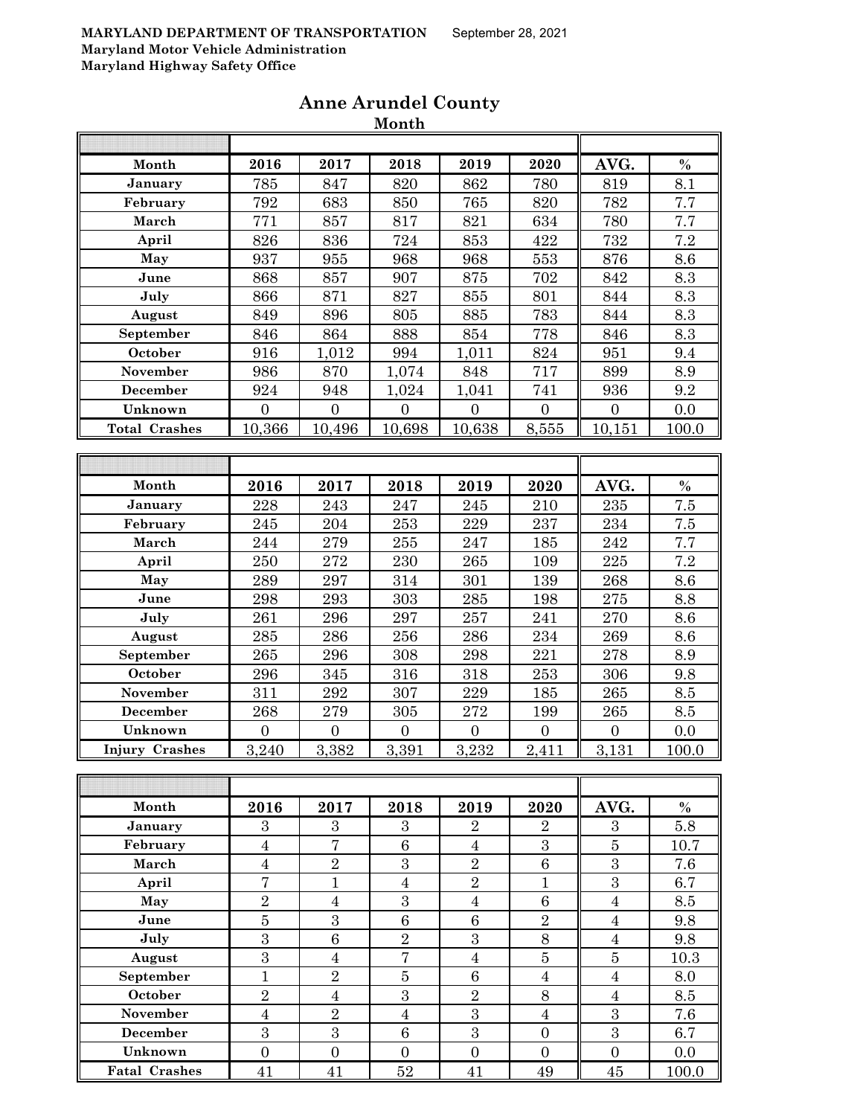| Month                 | 2016           | 2017           | 2018           | 2019           | 2020           | AVG.           | $\frac{0}{0}$    |
|-----------------------|----------------|----------------|----------------|----------------|----------------|----------------|------------------|
| January               | 785            | 847            | 820            | 862            | 780            | 819            | $\overline{8.1}$ |
| February              | 792            | 683            | 850            | 765            | 820            | 782            | 7.7              |
| March                 | 771            | 857            | 817            | 821            | 634            | 780            | 7.7              |
| April                 | 826            | 836            | 724            | 853            | 422            | 732            | 7.2              |
| May                   | 937            | 955            | 968            | 968            | 553            | 876            | 8.6              |
| June                  | 868            | 857            | 907            | 875            | 702            | 842            | 8.3              |
| July                  | 866            | 871            | 827            | 855            | 801            | 844            | 8.3              |
| August                | 849            | 896            | 805            | 885            | 783            | 844            | 8.3              |
| September             | 846            | 864            | 888            | 854            | 778            | 846            | 8.3              |
| October               | 916            | 1,012          | 994            | 1,011          | 824            | 951            | 9.4              |
| November              | 986            | 870            | 1,074          | 848            | 717            | 899            | 8.9              |
| December              | 924            | 948            | 1,024          | 1,041          | 741            | 936            | 9.2              |
| Unknown               | $\overline{0}$ | $\overline{0}$ | $\Omega$       | $\overline{0}$ | $\overline{0}$ | $\overline{0}$ | 0.0              |
| <b>Total Crashes</b>  | 10,366         | 10,496         | 10,698         | 10,638         | 8,555          | 10,151         | 100.0            |
|                       |                |                |                |                |                |                |                  |
|                       |                |                |                |                |                |                |                  |
| Month                 | 2016           | 2017           | 2018           | 2019           | 2020           | AVG.           | $\%$             |
| January               | 228            | 243            | 247            | 245            | 210            | 235            | 7.5              |
| February              | 245            | 204            | $253\,$        | 229            | 237            | 234            | 7.5              |
| March                 | 244            | 279            | 255            | 247            | 185            | 242            | $\overline{7.7}$ |
| April                 | 250            | 272            | 230            | 265            | 109            | 225            | 7.2              |
| May                   | 289            | 297            | 314            | 301            | 139            | 268            | 8.6              |
| June                  | 298            | 293            | 303            | 285            | 198            | 275            | 8.8              |
| July                  | 261            | 296            | 297            | 257            | 241            | 270            | 8.6              |
| August                | 285            | 286            | 256            | 286            | 234            | 269            | 8.6              |
| September             | 265            | 296            | 308            | 298            | 221            | 278            | 8.9              |
| October               | 296            | 345            | 316            | 318            | 253            | 306            | 9.8              |
| <b>November</b>       | 311            | 292            | 307            | 229            | 185            | 265            | 8.5              |
| December              | 268            | $\bf 279$      | 305            | 272            | 199            | 265            | 8.5              |
| Unknown               | $\overline{0}$ | $\overline{0}$ | $\overline{0}$ | $\overline{0}$ | $\overline{0}$ | $\overline{0}$ | 0.0              |
|                       |                |                |                |                |                |                |                  |
| <b>Injury Crashes</b> | 3,240          | 3,382          | 3,391          | 3,232          | 2,411          | 3,131          | 100.0            |
|                       |                |                |                |                |                |                |                  |
|                       |                |                |                |                |                |                |                  |

## **Anne Arundel County Month**

| <b>Injury Crashes</b> | 3,240          | 3,382          | 3,391          | 3,232          | 2,411          | 3,131          | 100.0 |
|-----------------------|----------------|----------------|----------------|----------------|----------------|----------------|-------|
|                       |                |                |                |                |                |                |       |
|                       |                |                |                |                |                |                |       |
| Month                 | 2016           | 2017           | 2018           | 2019           | 2020           | AVG.           | $\%$  |
| January               | 3              | 3              | 3              | $\overline{2}$ | $\overline{2}$ | 3              | 5.8   |
| February              | $\overline{4}$ | 7              | 6              | $\overline{4}$ | 3              | $\overline{5}$ | 10.7  |
| March                 | $\overline{4}$ | $\overline{2}$ | 3              | $\overline{2}$ | 6              | 3              | 7.6   |
| April                 | 7              | 1              | $\overline{4}$ | $\overline{2}$ | $\mathbf{1}$   | 3              | 6.7   |
| May                   | $\overline{2}$ | $\overline{4}$ | 3              | $\overline{4}$ | 6              | 4              | 8.5   |
| June                  | 5              | 3              | 6              | 6              | $\overline{2}$ | $\overline{4}$ | 9.8   |
| July                  | 3              | 6              | $\overline{2}$ | 3              | 8              | 4              | 9.8   |
| August                | 3              | $\overline{4}$ | 7              | $\overline{4}$ | 5              | $\overline{5}$ | 10.3  |
| September             | 1              | $\overline{2}$ | 5              | 6              | $\overline{4}$ | $\overline{4}$ | 8.0   |
| October               | $\overline{2}$ | $\overline{4}$ | 3              | $\overline{2}$ | 8              | $\overline{4}$ | 8.5   |
| <b>November</b>       | $\overline{4}$ | $\overline{2}$ | 4              | 3              | 4              | 3              | 7.6   |
| December              | 3              | 3              | 6              | 3              | $\overline{0}$ | 3              | 6.7   |
| Unknown               | $\overline{0}$ | $\overline{0}$ | $\overline{0}$ | $\overline{0}$ | $\Omega$       | $\overline{0}$ | 0.0   |
| <b>Fatal Crashes</b>  | 41             | 41             | 52             | 41             | 49             | 45             | 100.0 |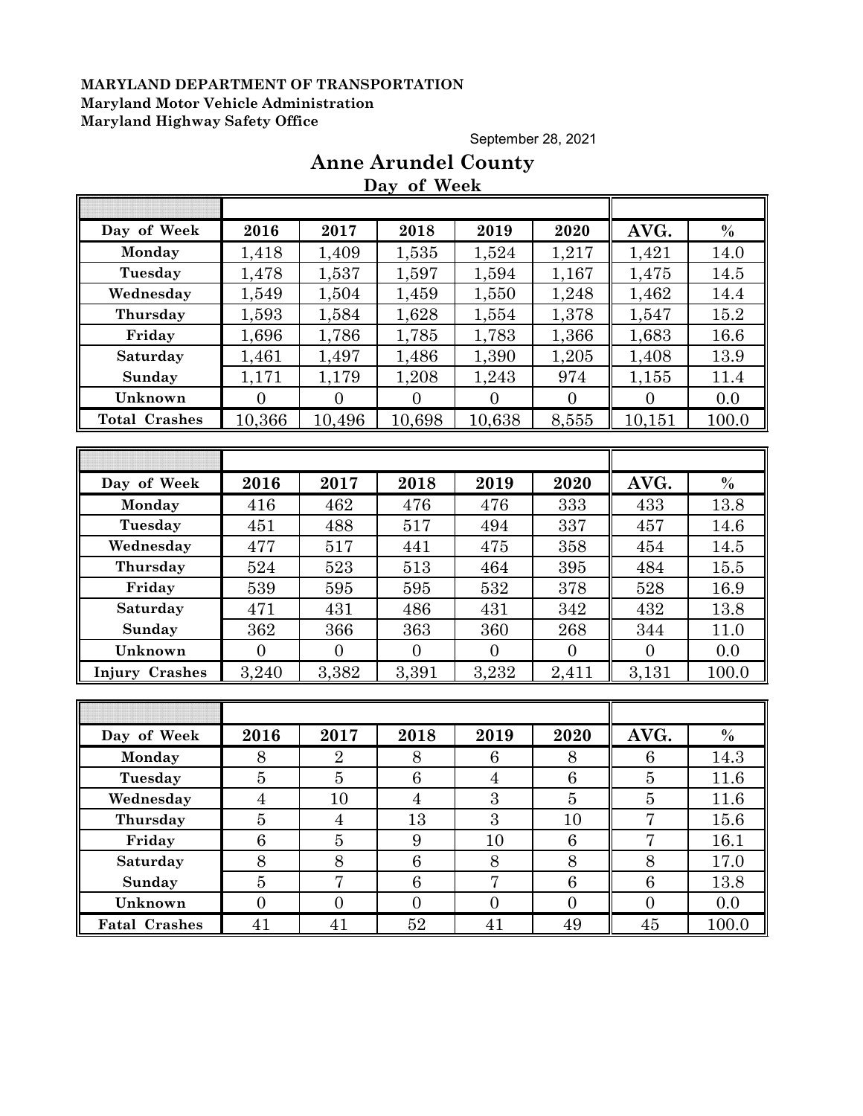September 28, 2021

|                       |                  |                | Day of Week    |                |                 |                |       |
|-----------------------|------------------|----------------|----------------|----------------|-----------------|----------------|-------|
|                       |                  |                |                |                |                 |                |       |
| Day of Week           | 2016             | 2017           | 2018           | 2019           | 2020            | AVG.           | $\%$  |
| Monday                | 1,418            | 1,409          | 1,535          | 1,524          | 1,217           | 1,421          | 14.0  |
| Tuesday               | 1,478            | 1,537          | 1,597          | 1,594          | 1,167           | 1,475          | 14.5  |
| Wednesday             | 1,549            | 1,504          | 1,459          | 1,550          | 1,248           | 1,462          | 14.4  |
| Thursday              | 1,593            | 1,584          | 1,628          | 1,554          | 1,378           | 1,547          | 15.2  |
| Friday                | 1,696            | 1,786          | 1,785          | 1,783          | 1,366           | 1,683          | 16.6  |
| Saturday              | 1,461            | 1,497          | 1,486          | 1,390          | 1,205           | 1,408          | 13.9  |
| Sunday                | 1,171            | 1,179          | 1,208          | 1,243          | 974             | 1,155          | 11.4  |
| Unknown               | $\overline{0}$   | $\overline{0}$ | $\overline{0}$ | $\overline{0}$ | $\overline{0}$  | $\overline{0}$ | 0.0   |
| <b>Total Crashes</b>  | 10,366           | 10,496         | 10,698         | 10,638         | 8,555           | 10,151         | 100.0 |
|                       |                  |                |                |                |                 |                |       |
|                       |                  |                |                |                |                 |                |       |
| Day of Week           | 2016             | 2017           | 2018           | 2019           | 2020            | AVG.           | $\%$  |
| Monday                | 416              | 462            | 476            | 476            | 333             | 433            | 13.8  |
| Tuesday               | 451              | 488            | 517            | 494            | 337             | 457            | 14.6  |
| Wednesday             | 477              | 517            | 441            | 475            | 358             | 454            | 14.5  |
| Thursday              | 524              | 523            | 513            | 464            | 395             | 484            | 15.5  |
| Friday                | 539              | 595            | 595            | 532            | 378             | 528            | 16.9  |
| Saturday              | 471              | 431            | 486            | 431            | 342             | 432            | 13.8  |
| Sunday                | 362              | 366            | 363            | 360            | 268             | 344            | 11.0  |
| Unknown               | $\overline{0}$   | $\overline{0}$ | $\overline{0}$ | $\overline{0}$ | $\overline{0}$  | $\overline{0}$ | 0.0   |
| <b>Injury Crashes</b> | 3,240            | 3,382          | 3,391          | 3,232          | 2,411           | 3,131          | 100.0 |
|                       |                  |                |                |                |                 |                |       |
|                       |                  |                |                |                |                 |                |       |
| Day of Week           | 2016             | 2017           | 2018           | 2019           | 2020            | AVG.           | $\%$  |
| Monday                | 8                | $\overline{2}$ | 8              | 6              | 8               | 6              | 14.3  |
| Tuesday               | $\overline{5}$   | $\overline{5}$ | 6              | $\overline{4}$ | 6               | $\bf 5$        | 11.6  |
| Wednesday             | $\overline{4}$   | 10             | $\overline{4}$ | 3              | $\overline{5}$  | $\bf 5$        | 11.6  |
| Thursday              | $\overline{5}$   | $\overline{4}$ | 13             | $\overline{3}$ | 10              | 7              | 15.6  |
| Friday                | 6                | $\overline{5}$ | 9              | 10             | 6               | $\overline{7}$ | 16.1  |
| Saturday              | 8                | 8              | 6              | 8              | 8               | 8              | 17.0  |
| Sunday                | $\overline{5}$   | $\overline{7}$ | $6\phantom{a}$ | $\overline{7}$ | $6\phantom{.}6$ | $\,6\,$        | 13.8  |
| Unknown               | $\boldsymbol{0}$ | $\overline{0}$ | $\overline{0}$ | $\overline{0}$ | $\overline{0}$  | $\overline{0}$ | 0.0   |
| <b>Fatal Crashes</b>  | 41               | 41             | 52             | 41             | 49              | 45             | 100.0 |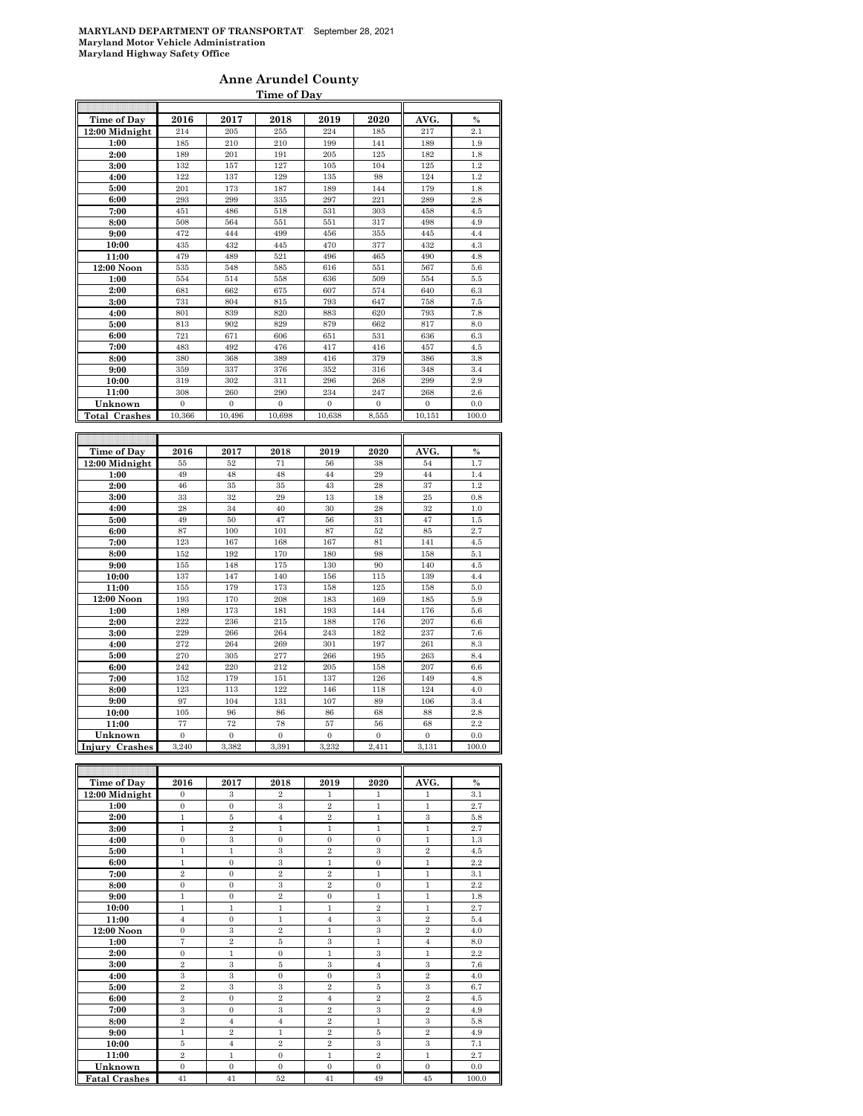#### **Anne Arundel County Time of Day**

| Time of Day                      | 2016                      | 2017                      | 2018                  | 2019                      | 2020                      | AVG.                      | $\frac{0}{0}$ |
|----------------------------------|---------------------------|---------------------------|-----------------------|---------------------------|---------------------------|---------------------------|---------------|
| 12:00 Midnight                   | 214                       | 205                       | 255                   | 224                       | 185                       | 217                       | 2.1           |
| 1:00                             | 185                       | 210                       | 210                   | 199                       | 141                       | 189                       | 1.9           |
| 2:00                             | 189                       | 201                       | 191                   | 205                       | 125                       | 182                       | 1.8           |
| 3:00                             | 132                       | 157                       | 127                   | 105                       | 104                       | 125                       | 1.2           |
| 4:00                             | 122                       | 137                       | 129                   | 135                       | 98                        | 124                       | 1.2           |
| 5:00                             | 201                       | 173                       | 187                   | 189                       | 144                       | 179                       | 1.8           |
| 6:00                             | 293                       | 299                       | 335                   | 297                       | 221                       | 289                       | 2.8           |
| 7:00                             | 451                       | 486                       | 518                   | 531                       | 303                       | 458                       | 4.5           |
| 8:00                             | 508                       | 564                       | 551                   | 551                       | 317                       | 498                       | 4.9           |
| 9:00                             | 472                       | 444                       | 499                   | 456                       | 355                       | 445                       | 4.4           |
| 10:00                            | 435                       | 432                       | 445                   | 470                       | 377                       | 432                       | 4.3           |
| 11:00                            | 479                       | 489                       | 521                   | 496                       | 465                       | 490                       | 4.8           |
| 12:00 Noon                       | 535                       | 548                       | 585                   | 616                       | 551                       | 567                       | 5.6           |
| 1:00                             | 554                       | 514                       | 558                   | 636                       | 509                       | 554                       | 5.5           |
| 2:00                             | 681                       | 662                       | 675                   | 607                       | 574                       | 640                       | 6.3           |
| 3:00                             | 731                       | 804                       | 815                   | 793                       | 647                       | 758                       | 7.5           |
| 4:00                             | 801                       | 839                       | 820                   | 883                       | 620                       | 793                       | 7.8           |
| 5:00                             | 813                       | 902                       | 829                   | 879                       | 662                       | 817                       | 8.0           |
| 6:00                             | 721                       | 671                       | 606                   | 651                       | 531                       | 636                       | 6.3           |
| 7:00                             | 483                       | 492                       | 476                   | 417                       | 416                       | 457                       | 4.5           |
| 8:00                             | 380                       | 368                       | 389                   | 416                       | 379                       | 386                       | 3.8           |
| 9:00                             | 359                       | 337                       | 376                   | 352                       | 316                       | 348                       | 3.4           |
| 10:00                            | 319                       | 302                       | 311                   | 296                       | 268                       | 299                       | 2.9           |
| 11:00                            | 308                       | 260                       | 290                   | 234                       | 247                       | 268                       | 2.6           |
| Unknown                          | $\mathbf{0}$              | $\mathbf{0}$              | $\mathbf{0}$          | $\overline{0}$            | $\mathbf{0}$              | $\mathbf{0}$              | 0.0           |
| <b>Total Crashes</b>             | 10,366                    | 10,496                    | 10,698                | 10,638                    | 8,555                     | 10,151                    | 100.0         |
|                                  |                           |                           |                       |                           |                           |                           |               |
|                                  |                           |                           |                       |                           |                           |                           |               |
| Time of Day                      | 2016                      | 2017                      | 2018                  | 2019                      | 2020                      | AVG.                      | $\frac{0}{0}$ |
|                                  |                           |                           |                       |                           |                           |                           |               |
| 12:00 Midnight                   | 55                        | 52                        | 71                    | 56                        | 38                        | 54                        | 1.7           |
| 1:00                             | 49                        | 48                        | 48                    | 44                        | 29                        | 44                        | 1.4           |
| 2:00                             | 46                        | 35                        | 35                    | 43                        | 28                        | 37                        | 1.2           |
| 3:00                             | 33                        | 32                        | 29                    | 13                        | 18                        | 25                        | 0.8           |
| 4:00                             | 28                        | 34                        | 40                    | 30                        | 28                        | 32                        | 1.0           |
| 5:00                             | 49                        | 50                        | 47                    | 56                        | 31                        | 47                        | 1.5           |
| 6:00                             | 87                        | 100                       | 101                   | 87                        | 52                        | 85                        | 2.7           |
| 7:00                             | 123                       | 167                       | 168                   | 167                       | 81                        | 141                       | 4.5           |
| 8:00                             | 152                       | 192                       | 170                   | 180                       | 98                        | 158                       | 5.1           |
| 9:00                             | 155                       | 148                       | 175                   | 130                       | 90                        | 140                       | 4.5           |
| 10:00                            | 137                       | 147                       | 140                   | 156                       | 115                       | 139                       | 4.4           |
| 11:00                            | 155                       | 179                       | 173                   | 158                       | 125                       | 158                       | 5.0           |
| 12:00 Noon                       | 193                       | 170                       | 208                   | 183                       | 169                       | 185                       | 5.9           |
| 1:00                             | 189                       | 173                       | 181                   | 193                       | 144                       | 176                       | 5.6           |
| 2:00                             | 222                       | 236                       | 215                   | 188                       | 176                       | 207                       | 6.6           |
| 3:00                             | 229                       | 266                       | 264                   | 243                       | 182                       | 237                       | 7.6           |
| 4:00                             | 272<br>270                | 264<br>305                | 269<br>277            | 301<br>266                | 197                       | 261<br>263                | 8.3<br>8.4    |
| 5:00                             |                           |                           |                       |                           | 195                       |                           |               |
| 6:00                             | 242                       | 220                       | 212                   | 205                       | 158                       | 207                       | 6.6           |
| 7:00                             | 152                       | 179                       | 151                   | 137                       | 126                       | 149                       | 4.8           |
| 8:00                             | 123                       | 113                       | 122                   | 146                       | 118                       | 124                       | 4.0           |
| 9:00                             | 97                        | 104                       | 131                   | 107                       | 89                        | 106                       | 3.4           |
| 10:00                            | 105                       | 96                        | 86                    | 86                        | 68                        | 88                        | 2.8           |
| 11:00                            | 77                        | 72                        | 78                    | 57                        | 56                        | 68                        | 2.2           |
| Unknown<br><b>Injury Crashes</b> | $\boldsymbol{0}$<br>3,240 | $\boldsymbol{0}$<br>3,382 | $\mathbf{0}$<br>3,391 | $\boldsymbol{0}$<br>3,232 | $\boldsymbol{0}$<br>2,411 | $\boldsymbol{0}$<br>3,131 | 0.0<br>100.0  |

| Time of Day          | 2016           | 2017           | 2018           | 2019           | 2020           | AVG.           | $\%$  |
|----------------------|----------------|----------------|----------------|----------------|----------------|----------------|-------|
| 12:00 Midnight       | $\mathbf{0}$   | 3              | $\overline{2}$ | 1              | 1              | 1              | 3.1   |
| 1:00                 | $\Omega$       | $\Omega$       | 3              | $\overline{2}$ | 1              | $\mathbf{1}$   | 2.7   |
| 2:00                 | $\mathbf{1}$   | 5              | $\overline{4}$ | $\overline{2}$ | $\mathbf{1}$   | 3              | 5.8   |
| 3:00                 | $\mathbf{1}$   | $\overline{2}$ | $\mathbf{1}$   | $\mathbf{1}$   | $\mathbf{1}$   | $\mathbf{1}$   | 2.7   |
| 4:00                 | $\mathbf{0}$   | 3              | $\mathbf{0}$   | $\mathbf{0}$   | $\Omega$       | $\mathbf{1}$   | 1.3   |
| 5:00                 | $\mathbf{1}$   | 1              | 3              | $\overline{2}$ | 3              | $\overline{2}$ | 4.5   |
| 6:00                 | $\mathbf{1}$   | $\overline{0}$ | 3              | $\mathbf{1}$   | $\overline{0}$ | $\mathbf{1}$   | 2.2   |
| 7:00                 | $\overline{2}$ | $\Omega$       | $\overline{2}$ | $\overline{2}$ | $\mathbf{1}$   | $\mathbf{1}$   | 3.1   |
| 8:00                 | $\Omega$       | $\Omega$       | 3              | $\overline{2}$ | $\Omega$       | $\mathbf{1}$   | 2.2   |
| 9:00                 | $\mathbf{1}$   | $\Omega$       | $\overline{2}$ | $\mathbf{0}$   | $\mathbf{1}$   | $\mathbf{1}$   | 1.8   |
| 10:00                | $\mathbf{1}$   | 1              | $\mathbf{1}$   | $\mathbf{1}$   | $\overline{2}$ | 1              | 2.7   |
| 11:00                | $\overline{4}$ | $\overline{0}$ | $\mathbf{1}$   | $\overline{4}$ | 3              | $\overline{2}$ | 5.4   |
| 12:00 Noon           | $\mathbf{0}$   | 3              | $\overline{2}$ | $\mathbf{1}$   | 3              | $\overline{2}$ | 4.0   |
| 1:00                 | 7              | $\overline{2}$ | 5              | 3              | $\mathbf{1}$   | $\overline{4}$ | 8.0   |
| 2:00                 | $\mathbf{0}$   | $\mathbf{1}$   | $\mathbf{0}$   | $\mathbf{1}$   | 3              | $\mathbf{1}$   | 2.2   |
| 3:00                 | $\overline{2}$ | 3              | 5              | 3              | $\overline{4}$ | 3              | 7.6   |
| 4:00                 | 3              | 3              | $\overline{0}$ | $\Omega$       | 3              | $\overline{2}$ | 4.0   |
| 5:00                 | $\overline{2}$ | 3              | 3              | $\overline{2}$ | 5              | 3              | 6.7   |
| 6:00                 | $\overline{2}$ | $\overline{0}$ | $\overline{2}$ | $\overline{4}$ | $\overline{2}$ | $\overline{2}$ | 4.5   |
| 7:00                 | 3              | $\Omega$       | 3              | $\overline{2}$ | 3              | $\overline{2}$ | 4.9   |
| 8:00                 | $\overline{2}$ | $\overline{4}$ | $\overline{4}$ | $\overline{2}$ | $\mathbf{1}$   | 3              | 5.8   |
| 9:00                 | $\mathbf{1}$   | $\overline{2}$ | $\mathbf{1}$   | $\overline{2}$ | 5              | $\overline{2}$ | 4.9   |
| 10:00                | 5              | $\overline{4}$ | $\overline{2}$ | $\overline{2}$ | 3              | 3              | 7.1   |
| 11:00                | $\overline{2}$ | $\mathbf{1}$   | $\overline{0}$ | $\mathbf{1}$   | $\overline{2}$ | $\mathbf{1}$   | 2.7   |
| Unknown              | $\mathbf{0}$   | $\Omega$       | $\overline{0}$ | $\mathbf{0}$   | $\Omega$       | $\mathbf{0}$   | 0.0   |
| <b>Fatal Crashes</b> | 41             | 41             | 52             | 41             | 49             | 45             | 100.0 |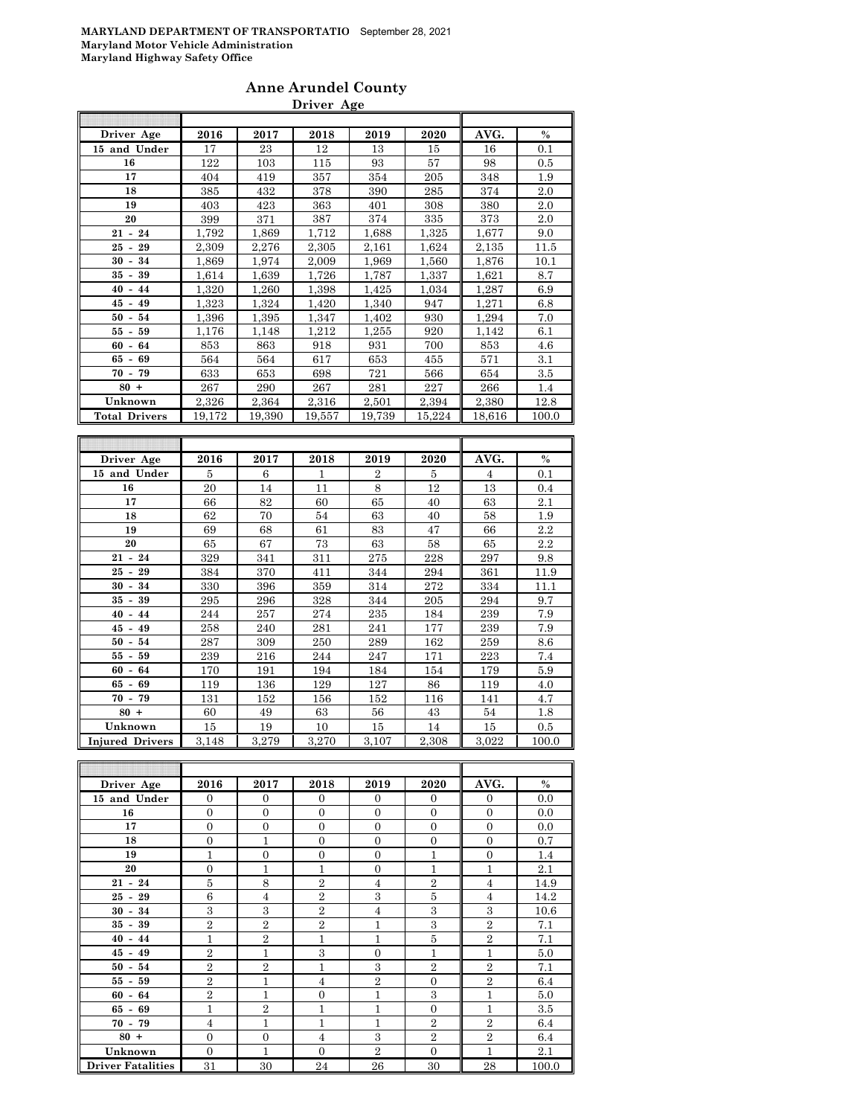#### **Anne Arundel County Driver Age**

| Driver Age           | 2016   | 2017   | 2018   | 2019   | 2020   | AVG.   | $\frac{0}{0}$ |
|----------------------|--------|--------|--------|--------|--------|--------|---------------|
| 15 and Under         | 17     | 23     | 12     | 13     | 15     | 16     | 0.1           |
| 16                   | 122    | 103    | 115    | 93     | 57     | 98     | 0.5           |
| 17                   | 404    | 419    | 357    | 354    | 205    | 348    | 1.9           |
| 18                   | 385    | 432    | 378    | 390    | 285    | 374    | 2.0           |
| 19                   | 403    | 423    | 363    | 401    | 308    | 380    | 2.0           |
| 20                   | 399    | 371    | 387    | 374    | 335    | 373    | 2.0           |
| $21 - 24$            | 1,792  | 1,869  | 1,712  | 1,688  | 1,325  | 1,677  | 9.0           |
| $25 - 29$            | 2,309  | 2,276  | 2,305  | 2,161  | 1,624  | 2,135  | 11.5          |
| $30 - 34$            | 1,869  | 1,974  | 2,009  | 1,969  | 1,560  | 1,876  | 10.1          |
| 39<br>35 -           | 1,614  | 1,639  | 1,726  | 1,787  | 1,337  | 1,621  | 8.7           |
| $40 -$<br>44         | 1,320  | 1,260  | 1,398  | 1,425  | 1,034  | 1,287  | 6.9           |
| $45 -$<br>49         | 1,323  | 1,324  | 1,420  | 1,340  | 947    | 1,271  | 6.8           |
| $50 - 54$            | 1,396  | 1,395  | 1,347  | 1,402  | 930    | 1,294  | 7.0           |
| $55 - 59$            | 1,176  | 1,148  | 1,212  | 1,255  | 920    | 1,142  | 6.1           |
| $60 -$<br>64         | 853    | 863    | 918    | 931    | 700    | 853    | 4.6           |
| $65 - 69$            | 564    | 564    | 617    | 653    | 455    | 571    | 3.1           |
| $70 - 79$            | 633    | 653    | 698    | 721    | 566    | 654    | 3.5           |
| $80 +$               | 267    | 290    | 267    | 281    | 227    | 266    | 1.4           |
| Unknown              | 2,326  | 2,364  | 2,316  | 2,501  | 2,394  | 2,380  | 12.8          |
| <b>Total Drivers</b> | 19,172 | 19,390 | 19,557 | 19,739 | 15,224 | 18.616 | 100.0         |

| Driver Age             | 2016  | 2017  | 2018  | 2019           | 2020  | AVG.           | $\%$  |
|------------------------|-------|-------|-------|----------------|-------|----------------|-------|
| 15 and Under           | 5     | 6     | 1     | $\overline{2}$ | 5     | $\overline{4}$ | 0.1   |
| 16                     | 20    | 14    | 11    | 8              | 12    | 13             | 0.4   |
| 17                     | 66    | 82    | 60    | 65             | 40    | 63             | 2.1   |
| 18                     | 62    | 70    | 54    | 63             | 40    | 58             | 1.9   |
| 19                     | 69    | 68    | 61    | 83             | 47    | 66             | 2.2   |
| 20                     | 65    | 67    | 73    | 63             | 58    | 65             | 2.2   |
| $21 - 24$              | 329   | 341   | 311   | 275            | 228   | 297            | 9.8   |
| $25 - 29$              | 384   | 370   | 411   | 344            | 294   | 361            | 11.9  |
| 34<br>$30 -$           | 330   | 396   | 359   | 314            | 272   | 334            | 11.1  |
| 35 -<br>39             | 295   | 296   | 328   | 344            | 205   | 294            | 9.7   |
| $40 - 44$              | 244   | 257   | 274   | 235            | 184   | 239            | 7.9   |
| $45 - 49$              | 258   | 240   | 281   | 241            | 177   | 239            | 7.9   |
| $50 - 54$              | 287   | 309   | 250   | 289            | 162   | 259            | 8.6   |
| $55 - 59$              | 239   | 216   | 244   | 247            | 171   | 223            | 7.4   |
| 64<br>$60 -$           | 170   | 191   | 194   | 184            | 154   | 179            | 5.9   |
| 69<br>65 -             | 119   | 136   | 129   | 127            | 86    | 119            | 4.0   |
| $70 - 79$              | 131   | 152   | 156   | 152            | 116   | 141            | 4.7   |
| $80 +$                 | 60    | 49    | 63    | 56             | 43    | 54             | 1.8   |
| Unknown                | 15    | 19    | 10    | 15             | 14    | 15             | 0.5   |
| <b>Injured Drivers</b> | 3,148 | 3,279 | 3,270 | 3,107          | 2,308 | 3,022          | 100.0 |

| Driver Age               | 2016           | 2017           | 2018           | 2019           | 2020           | AVG.           | $\%$  |
|--------------------------|----------------|----------------|----------------|----------------|----------------|----------------|-------|
| 15 and Under             | $\mathbf{0}$   | $\mathbf{0}$   | $\Omega$       | $\Omega$       | $\mathbf{0}$   | $\mathbf{0}$   | 0.0   |
| 16                       | $\Omega$       | $\Omega$       | $\Omega$       | $\Omega$       | $\Omega$       | $\Omega$       | 0.0   |
| 17                       | $\overline{0}$ | $\overline{0}$ | $\Omega$       | $\overline{0}$ | $\overline{0}$ | $\overline{0}$ | 0.0   |
| 18                       | $\overline{0}$ | $\mathbf{1}$   | $\Omega$       | $\Omega$       | $\overline{0}$ | $\overline{0}$ | 0.7   |
| 19                       | $\mathbf{1}$   | $\overline{0}$ | $\Omega$       | $\Omega$       | $\mathbf{1}$   | $\overline{0}$ | 1.4   |
| 20                       | $\overline{0}$ | 1              | 1              | $\overline{0}$ | 1              | 1              | 2.1   |
| $21 - 24$                | 5              | 8              | $\overline{2}$ | $\overline{4}$ | $\overline{2}$ | $\overline{4}$ | 14.9  |
| $25 - 29$                | 6              | $\overline{4}$ | $\mathbf{2}$   | 3              | 5              | $\overline{4}$ | 14.2  |
| $30 - 34$                | 3              | 3              | $\overline{2}$ | $\overline{4}$ | 3              | 3              | 10.6  |
| $35 - 39$                | $\overline{2}$ | $\overline{2}$ | $\overline{2}$ | 1              | 3              | $\overline{2}$ | 7.1   |
| $40 - 44$                | 1              | $\overline{2}$ | 1              | 1              | 5              | $\overline{2}$ | 7.1   |
| $45 - 49$                | $\overline{2}$ | $\mathbf{1}$   | 3              | $\Omega$       | $\mathbf{1}$   | $\mathbf{1}$   | 5.0   |
| $50 - 54$                | $\overline{2}$ | $\overline{2}$ | 1              | 3              | $\overline{2}$ | $\overline{2}$ | 7.1   |
| $55 - 59$                | $\overline{2}$ | $\mathbf{1}$   | $\overline{4}$ | $\overline{2}$ | $\Omega$       | $\overline{2}$ | 6.4   |
| $60 - 64$                | $\overline{2}$ | 1              | $\Omega$       | 1              | 3              | 1              | 5.0   |
| $65 - 69$                | $\mathbf{1}$   | $\overline{2}$ | 1              | 1              | $\overline{0}$ | 1              | 3.5   |
| $70 - 79$                | $\overline{4}$ | 1              | $\mathbf{1}$   | 1              | $\overline{2}$ | $\overline{2}$ | 6.4   |
| $80 +$                   | $\overline{0}$ | $\overline{0}$ | $\overline{4}$ | 3              | $\overline{2}$ | $\overline{2}$ | 6.4   |
| Unknown                  | $\overline{0}$ | 1              | $\Omega$       | $\overline{2}$ | $\overline{0}$ | $\mathbf{1}$   | 2.1   |
| <b>Driver Fatalities</b> | 31             | 30             | 24             | 26             | 30             | 28             | 100.0 |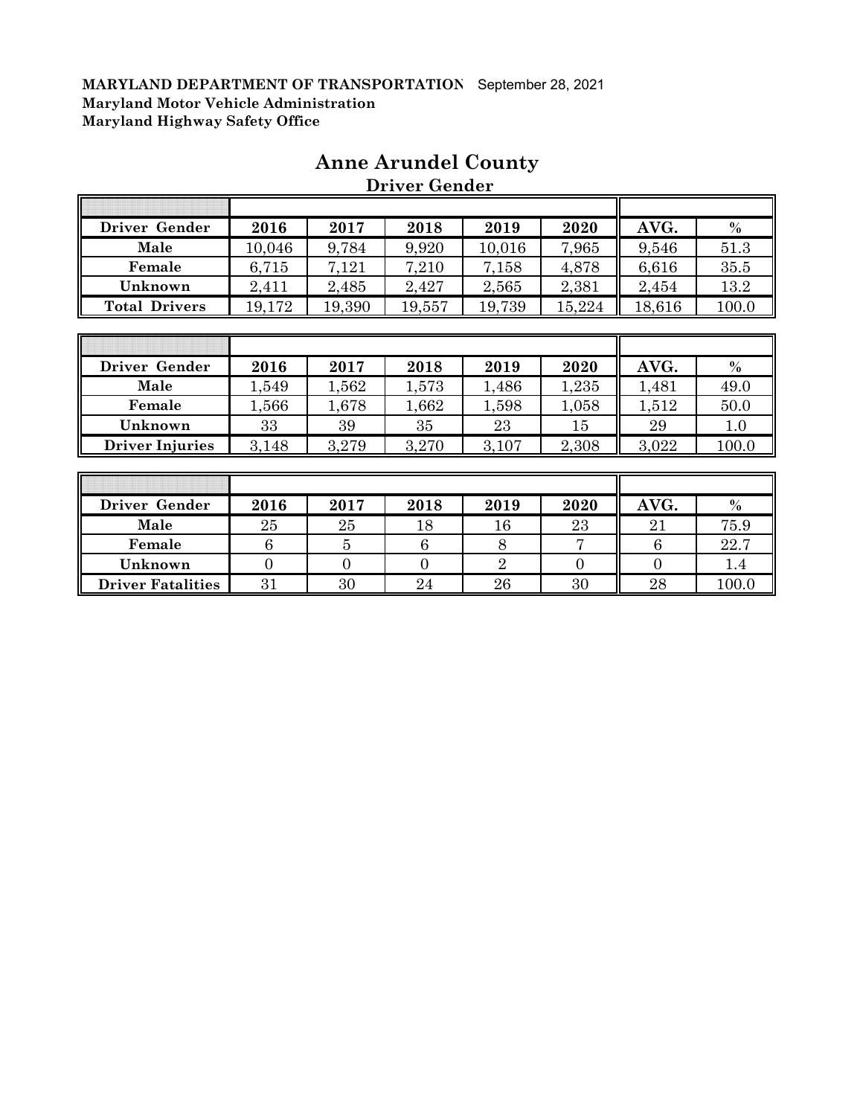| Driver Gender        | 2016   | 2017   | 2018   | 2019   | 2020   | AVG.   | $\%$  |
|----------------------|--------|--------|--------|--------|--------|--------|-------|
| Male                 | 10,046 | 9,784  | 9,920  | 10,016 | 7,965  | 9,546  | 51.3  |
| Female               | 6,715  | 7,121  | 7,210  | 7,158  | 4,878  | 6,616  | 35.5  |
| Unknown              | 2,411  | 2,485  | 2,427  | 2,565  | 2,381  | 2,454  | 13.2  |
| <b>Total Drivers</b> | 19,172 | 19,390 | 19,557 | 19,739 | 15,224 | 18,616 | 100.0 |
|                      |        |        |        |        |        |        |       |
|                      |        |        |        |        |        |        |       |
|                      |        |        |        |        |        |        |       |

## **Anne Arundel County Driver Gender**

 $\overline{a}$ 

| Driver Gender          | 2016  | 2017  | 2018  | 2019  | 2020  | AVG.  | $\%$    |
|------------------------|-------|-------|-------|-------|-------|-------|---------|
| Male                   | ,549  | 1,562 | 1,573 | 1,486 | 1,235 | 1,481 | 49.0    |
| Female                 | ,566  | 1,678 | 1,662 | 1,598 | 1,058 | 1,512 | 50.0    |
| Unknown                | 33    | 39    | 35    | 23    | 15    | 29    | $1.0\,$ |
| <b>Driver Injuries</b> | 3,148 | 3,279 | 3,270 | 3,107 | 2,308 | 3,022 | 100.0   |
|                        |       |       |       |       |       |       |         |

| Driver Gender            | 2016 | 2017 | 2018 | 2019   | 2020 | AVG. | $\frac{0}{0}$ |
|--------------------------|------|------|------|--------|------|------|---------------|
| Male                     | 25   | 25   | 18   | l6     | 23   | 21   | 75.9          |
| Female                   |      |      |      |        |      |      | 22.7          |
| Unknown                  |      |      |      |        |      |      |               |
| <b>Driver Fatalities</b> | 31   | 30   | 24   | $26\,$ | 30   | 28   | 100.0         |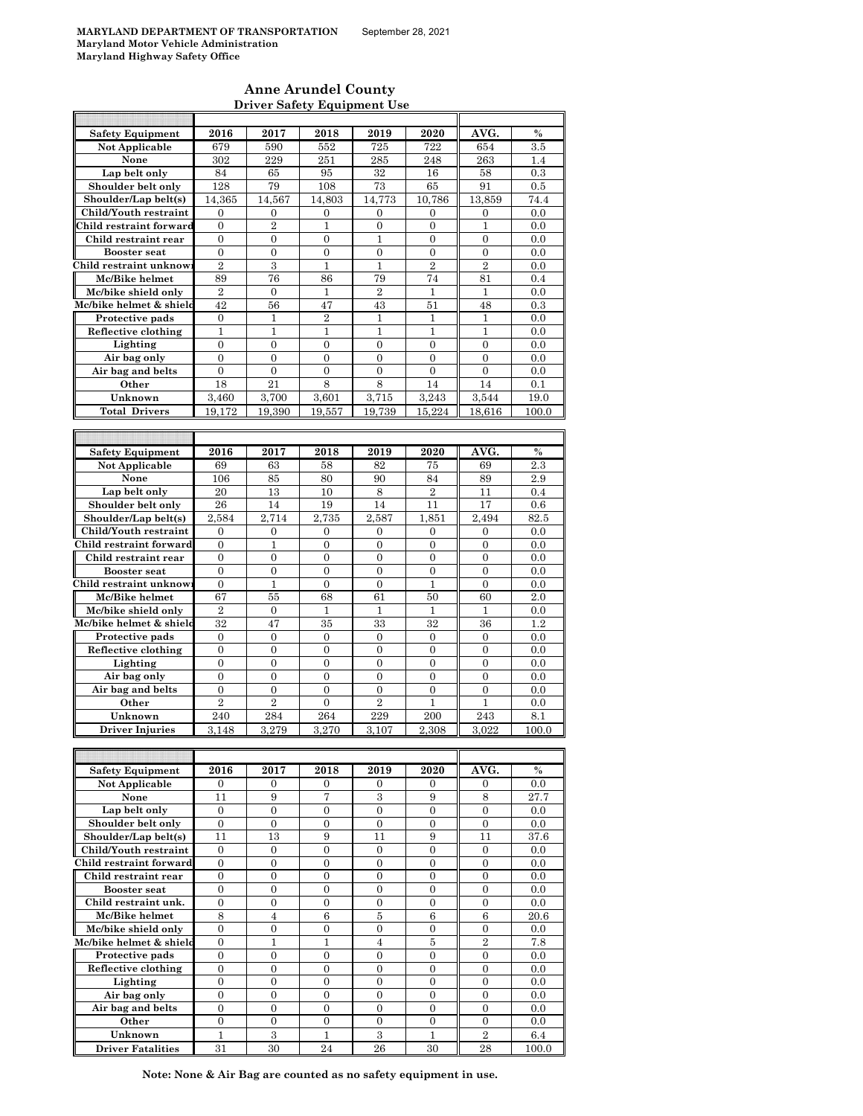#### **Anne Arundel County Driver Safety Equipment Use**

| <b>Safety Equipment</b>                       | 2016                               | 2017                               | 2018                  | 2019                               | 2020                               | AVG.                               | $\frac{0}{0}$ |
|-----------------------------------------------|------------------------------------|------------------------------------|-----------------------|------------------------------------|------------------------------------|------------------------------------|---------------|
| <b>Not Applicable</b>                         | 679                                | 590                                | 552                   | 725                                | 722                                | 654                                | 3.5           |
| None                                          | 302                                | 229                                | 251                   | 285                                | 248                                | 263                                | 1.4           |
| Lap belt only                                 | 84                                 | 65                                 | 95                    | 32                                 | 16                                 | 58                                 | 0.3           |
| Shoulder belt only                            | 128                                | 79                                 | 108                   | 73                                 | 65                                 | 91                                 | 0.5           |
| Shoulder/Lap belt(s)<br>Child/Youth restraint | 14,365                             | 14,567                             | 14,803                | 14,773                             | 10,786                             | 13,859                             | 74.4          |
| Child restraint forward                       | $\boldsymbol{0}$<br>$\overline{0}$ | $\boldsymbol{0}$<br>$\overline{2}$ | 0<br>$\mathbf{1}$     | 0<br>$\overline{0}$                | $\boldsymbol{0}$<br>$\overline{0}$ | 0<br>$\mathbf{1}$                  | 0.0<br>0.0    |
| Child restraint rear                          | $\overline{0}$                     | $\mathbf{0}$                       | $\mathbf{0}$          | 1                                  | 0                                  | $\overline{0}$                     | 0.0           |
| <b>Booster seat</b>                           | $\overline{0}$                     | $\mathbf{0}$                       | $\overline{0}$        | $\overline{0}$                     | $\Omega$                           | $\Omega$                           | 0.0           |
| Child restraint unknow                        | $\overline{2}$                     | 3                                  | 1                     | 1                                  | $\overline{2}$                     | $\overline{2}$                     | 0.0           |
| Mc/Bike helmet                                | 89                                 | 76                                 | 86                    | 79                                 | 74                                 | 81                                 | 0.4           |
| Mc/bike shield only                           | $\overline{2}$                     | $\mathbf{0}$                       | 1                     | $\overline{2}$                     | $\mathbf{1}$                       | 1                                  | 0.0           |
| Mc/bike helmet & shield                       | 42                                 | 56                                 | 47                    | 43                                 | 51                                 | 48                                 | 0.3           |
| Protective pads                               | $\overline{0}$                     | 1                                  | $\overline{2}$        | 1                                  | 1                                  | 1                                  | 0.0           |
| Reflective clothing<br>Lighting               | 1<br>$\overline{0}$                | 1<br>$\overline{0}$                | 1<br>$\overline{0}$   | 1<br>$\overline{0}$                | $\mathbf{1}$<br>$\overline{0}$     | 1<br>$\overline{0}$                | 0.0<br>0.0    |
| Air bag only                                  | $\overline{0}$                     | $\overline{0}$                     | $\overline{0}$        | $\overline{0}$                     | $\overline{0}$                     | $\overline{0}$                     | 0.0           |
| Air bag and belts                             | $\overline{0}$                     | $\overline{0}$                     | $\overline{0}$        | $\overline{0}$                     | $\overline{0}$                     | $\overline{0}$                     | 0.0           |
| Other                                         | 18                                 | 21                                 | 8                     | 8                                  | 14                                 | 14                                 | 0.1           |
| Unknown                                       | 3,460                              | 3,700                              | 3.601                 | 3,715                              | 3,243                              | 3,544                              | 19.0          |
| <b>Total Drivers</b>                          | 19,172                             | 19,390                             | 19,557                | 19.739                             | 15,224                             | 18.616                             | 100.0         |
|                                               |                                    |                                    |                       |                                    |                                    |                                    |               |
|                                               |                                    |                                    |                       |                                    |                                    |                                    |               |
| <b>Safety Equipment</b>                       | 2016                               | 2017                               | 2018                  | 2019                               | 2020                               | AVG.                               | $\%$          |
| Not Applicable<br>None                        | 69<br>106                          | 63<br>85                           | 58<br>80              | 82<br>90                           | 75<br>84                           | 69<br>89                           | 2.3<br>2.9    |
| Lap belt only                                 | 20                                 | 13                                 | 10                    | 8                                  | $\overline{2}$                     | 11                                 | 0.4           |
| Shoulder belt only                            | 26                                 | 14                                 | 19                    | 14                                 | 11                                 | 17                                 | 0.6           |
| Shoulder/Lap belt(s)                          | 2,584                              | 2,714                              | 2,735                 | 2,587                              | 1,851                              | 2,494                              | 82.5          |
| Child/Youth restraint                         | $\overline{0}$                     | $\mathbf{0}$                       | $\overline{0}$        | $\overline{0}$                     | $\overline{0}$                     | $\overline{0}$                     | 0.0           |
| Child restraint forward                       | 0                                  | 1                                  | $\boldsymbol{0}$      | 0                                  | 0                                  | $\boldsymbol{0}$                   | 0.0           |
| Child restraint rear                          | $\overline{0}$                     | $\overline{0}$                     | $\overline{0}$        | $\overline{0}$                     | 0                                  | $\overline{0}$                     | 0.0           |
| <b>Booster</b> seat                           | $\overline{0}$                     | $\mathbf{0}$                       | $\overline{0}$        | $\overline{0}$                     | $\overline{0}$                     | $\overline{0}$                     | 0.0           |
| Child restraint unknow                        | $\boldsymbol{0}$                   | 1                                  | 0                     | $\boldsymbol{0}$                   | $\mathbf{1}$                       | $\boldsymbol{0}$                   | 0.0           |
| Mc/Bike helmet<br>Mc/bike shield only         | 67<br>$\overline{2}$               | 55<br>$\boldsymbol{0}$             | 68<br>1               | 61<br>1                            | 50<br>1                            | 60<br>1                            | 2.0<br>0.0    |
| Mc/bike helmet & shield                       | 32                                 | 47                                 | 35                    | 33                                 | 32                                 | 36                                 | 1.2           |
| Protective pads                               | $\overline{0}$                     | $\mathbf{0}$                       | $\overline{0}$        | $\overline{0}$                     | $\overline{0}$                     | $\overline{0}$                     | 0.0           |
| Reflective clothing                           | $\overline{0}$                     | $\mathbf{0}$                       | $\overline{0}$        | $\overline{0}$                     | $\overline{0}$                     | $\overline{0}$                     | 0.0           |
| Lighting                                      | $\mathbf{0}$                       | $\boldsymbol{0}$                   | $\boldsymbol{0}$      | $\boldsymbol{0}$                   | $\overline{0}$                     | $\boldsymbol{0}$                   | 0.0           |
| Air bag only                                  | $\boldsymbol{0}$                   | $\mathbf{0}$                       | 0                     | 0                                  | $\mathbf{0}$                       | $\mathbf{0}$                       | 0.0           |
| Air bag and belts                             | $\overline{0}$                     | $\mathbf{0}$                       | $\overline{0}$        | $\overline{0}$                     | $\overline{0}$                     | $\overline{0}$                     | 0.0           |
| Other                                         | $\overline{2}$                     | $\overline{2}$                     | 0                     | $\overline{2}$                     | 1                                  | 1                                  | 0.0           |
| Unknown<br><b>Driver Injuries</b>             | 240                                | 284<br>3.279                       | 264                   | 229<br>3.107                       | 200                                | 243                                | 8.1           |
|                                               | 3,148                              |                                    | 3,270                 |                                    | 2,308                              | 3,022                              | 100.0         |
|                                               |                                    |                                    |                       |                                    |                                    |                                    |               |
| <b>Safety Equipment</b>                       | 2016                               | 2017                               | 2018                  | 2019                               | 2020                               | AVG.                               | %             |
| Not Applicable                                | 0                                  | 0                                  | 0                     | 0                                  | 0                                  | 0                                  | 0.0           |
| None                                          | 11                                 | 9                                  | 7                     | 3                                  | 9                                  | 8                                  | 27.7          |
| Lap belt only                                 | $\boldsymbol{0}$                   | $\boldsymbol{0}$                   | $\mathbf{0}$          | $\overline{0}$                     | $\overline{0}$                     | $\overline{0}$                     | 0.0           |
| Shoulder belt only                            | $\boldsymbol{0}$                   | $\boldsymbol{0}$                   | $\boldsymbol{0}$      | $\boldsymbol{0}$                   | 0                                  | $\boldsymbol{0}$                   | 0.0           |
| Shoulder/Lap belt(s)<br>Child/Youth restraint | 11<br>$\mathbf{0}$                 | 13<br>$\boldsymbol{0}$             | 9<br>$\boldsymbol{0}$ | 11<br>$\boldsymbol{0}$             | 9<br>$\boldsymbol{0}$              | 11<br>$\boldsymbol{0}$             | 37.6          |
| Child restraint forward                       | $\boldsymbol{0}$                   | $\boldsymbol{0}$                   | $\boldsymbol{0}$      | $\boldsymbol{0}$                   | $\boldsymbol{0}$                   | $\boldsymbol{0}$                   | 0.0<br>0.0    |
| Child restraint rear                          | $\boldsymbol{0}$                   | $\boldsymbol{0}$                   | 0                     | $\boldsymbol{0}$                   | $\boldsymbol{0}$                   | $\boldsymbol{0}$                   | 0.0           |
| <b>Booster seat</b>                           | 0                                  | $\boldsymbol{0}$                   | $\boldsymbol{0}$      | $\boldsymbol{0}$                   | $\boldsymbol{0}$                   | $\boldsymbol{0}$                   | 0.0           |
| Child restraint unk.                          | $\overline{0}$                     | $\mathbf{0}$                       | $\overline{0}$        | $\mathbf{0}$                       | $\overline{0}$                     | $\overline{0}$                     | 0.0           |
| Mc/Bike helmet                                | 8                                  | $\overline{4}$                     | 6                     | 5                                  | $\,6$                              | 6                                  | 20.6          |
| Mc/bike shield only                           | $\overline{0}$                     | $\boldsymbol{0}$                   | $\boldsymbol{0}$      | $\overline{0}$                     | 0                                  | $\overline{0}$                     | 0.0           |
| Mc/bike helmet & shield                       | $\boldsymbol{0}$                   | $\mathbf{1}$                       | $\mathbf{1}$          | $\overline{4}$                     | 5                                  | $\overline{2}$                     | 7.8           |
| Protective pads                               | 0<br>$\overline{0}$                | 0<br>$\mathbf{0}$                  | 0<br>$\overline{0}$   | $\boldsymbol{0}$<br>$\overline{0}$ | $\boldsymbol{0}$<br>$\overline{0}$ | $\boldsymbol{0}$<br>$\overline{0}$ | 0.0           |
| Reflective clothing<br>Lighting               | $\boldsymbol{0}$                   | 0                                  | 0                     | 0                                  | 0                                  | 0                                  | 0.0<br>0.0    |
| Air bag only                                  | $\overline{0}$                     | $\mathbf{0}$                       | $\boldsymbol{0}$      | $\boldsymbol{0}$                   | $\boldsymbol{0}$                   | $\boldsymbol{0}$                   | 0.0           |
| Air bag and belts                             | $\boldsymbol{0}$                   | $\boldsymbol{0}$                   | 0                     | $\boldsymbol{0}$                   | $\boldsymbol{0}$                   | 0                                  | 0.0           |
| Other                                         | $\mathbf{0}$                       | $\overline{0}$                     | $\overline{0}$        | $\overline{0}$                     | $\overline{0}$                     | $\overline{0}$                     | 0.0           |
| Unknown                                       | $\mathbf{1}$                       | 3                                  | $\mathbf{1}$          | 3                                  | $\mathbf{1}$                       | $\overline{2}$                     | 6.4           |
| <b>Driver Fatalities</b>                      | 31                                 | 30                                 | 24                    | 26                                 | 30                                 | 28                                 | 100.0         |

**Note: None & Air Bag are counted as no safety equipment in use.**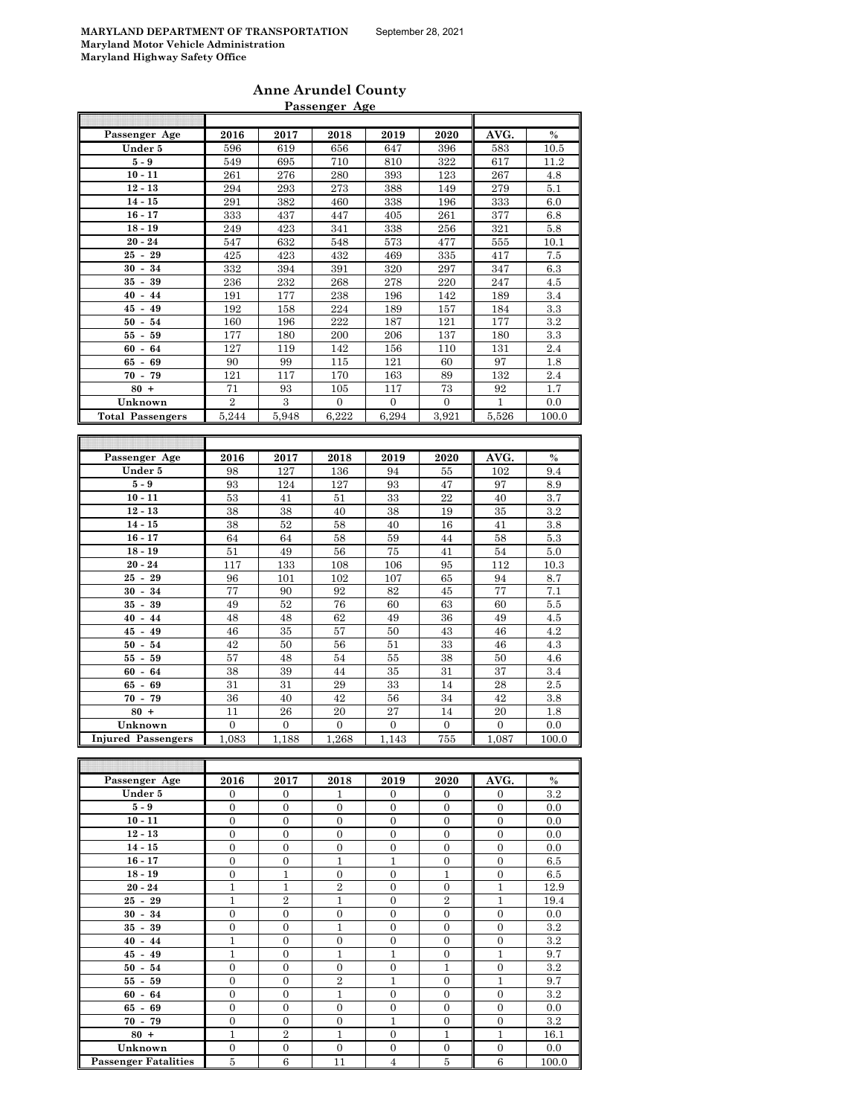#### **Anne Arundel County Passenger Age**

| Passenger Age                        | 2016             | 2017             | 2018             | 2019             | 2020             | AVG.             | $\%$          |
|--------------------------------------|------------------|------------------|------------------|------------------|------------------|------------------|---------------|
| Under 5                              | 596              | 619              | 656              | 647              | 396              | 583              | 10.5          |
| $5-9$                                | 549              | 695              | 710              | 810              | 322              | 617              | 11.2          |
| $10 - 11$                            | 261              | 276              | 280              | 393              | 123              | 267              | 4.8           |
| $12 - 13$                            | 294              | 293              | 273              | 388              | 149              | 279              | 5.1           |
| $14 - 15$                            | 291              | 382              | 460              | 338              | 196              | 333              | 6.0           |
| $16 - 17$                            | 333              | 437              | 447              | 405              | 261              | 377              | 6.8           |
| $18 - 19$                            | 249              | 423              | 341              | 338              | 256              | 321              | 5.8           |
| $20 - 24$                            | 547              | 632              | 548              | 573              | 477              | 555              | 10.1          |
| 29<br>25<br>$\sim$                   | 425              | 423              | 432              | 469              | 335              | 417              | 7.5           |
| $30 - 34$                            | 332              | 394              | 391              | 320              | 297              | 347              | 6.3           |
| $35 - 39$                            | 236              | 232              | 268              | 278              | 220              | 247              | 4.5           |
| $40 - 44$                            | 191              | 177              | 238              | 196              | 142              | 189              | 3.4           |
|                                      | 192              |                  | 224              |                  |                  |                  |               |
| 45<br>$-49$                          |                  | 158              |                  | 189              | 157              | 184              | 3.3           |
| $50 - 54$                            | 160              | 196              | 222              | 187              | 121              | 177              | 3.2           |
| $-59$<br>55                          | 177              | 180              | 200              | 206              | 137              | 180              | 3.3           |
| $60 - 64$                            | 127              | 119              | 142              | 156              | 110              | 131              | 2.4           |
| $65 - 69$                            | 90               | 99               | 115              | 121              | 60               | 97               | 1.8           |
| 79<br>70<br>$\blacksquare$           | 121              | 117              | 170              | 163              | 89               | 132              | 2.4           |
| $80 +$                               | 71               | 93               | 105              | 117              | 73               | 92               | 1.7           |
| Unknown                              | $\overline{2}$   | 3                | $\overline{0}$   | $\boldsymbol{0}$ | 0                | 1                | 0.0           |
| <b>Total Passengers</b>              | 5,244            | 5,948            | 6,222            | 6,294            | 3,921            | 5,526            | 100.0         |
|                                      |                  |                  |                  |                  |                  |                  |               |
|                                      |                  |                  |                  |                  |                  |                  |               |
| Passenger Age                        | 2016             | 2017             | 2018             | 2019             | 2020             | AVG.             | $\frac{0}{0}$ |
| Under 5                              | 98               | 127              | 136              | 94               | 55               | 102              | 9.4           |
| $5-9$                                | 93               | 124              | 127              | 93               | 47               | 97               | 8.9           |
| $10 - 11$                            | 53               | 41               | 51               | 33               | 22               | 40               | 3.7           |
| $12 - 13$                            | 38               | 38               | 40               | 38               | 19               | 35               | 3.2           |
| $14 - 15$                            | 38               | 52               | 58               | 40               | 16               | 41               | 3.8           |
| $16 - 17$                            | 64               | 64               | 58               | 59               | 44               | 58               | 5.3           |
| $18 - 19$                            | 51               | 49               | 56               | 75               | 41               | 54               | 5.0           |
| $20 - 24$                            | 117              | 133              | 108              | 106              | 95               | 112              | $10.3\,$      |
| $25 - 29$                            | 96               | 101              | 102              | 107              | 65               | 94               | 8.7           |
| $30 -$<br>34                         | 77               | 90               | 92               | 82               | 45               | 77               | 7.1           |
| $35 - 39$                            | 49               | 52               | 76               | 60               | 63               | 60               | 5.5           |
| $40 - 44$                            | 48               | 48               | 62               | 49               | 36               | 49               | 4.5           |
| 45<br>$-49$                          | 46               | 35               | 57               | 50               | 43               | 46               | 4.2           |
| $50 - 54$                            | 42               | 50               | 56               | 51               | 33               | 46               | 4.3           |
| 55<br>- 59                           | 57               | 48               | 54               | 55               | 38               | 50               | 4.6           |
| 64<br>60<br>$\overline{\phantom{a}}$ | 38               | 39               | 44               | 35               | 31               | 37               | 3.4           |
| 65<br>$-69$                          | 31               | 31               | 29               | 33               | 14               | 28               | 2.5           |
| $70 - 79$                            | 36               | 40               | 42               | 56               | 34               | 42               | 3.8           |
| $80 +$                               | 11               | 26               | 20               | 27               | 14               | 20               | 1.8           |
| Unknown                              | $\boldsymbol{0}$ | $\boldsymbol{0}$ | $\boldsymbol{0}$ | $\boldsymbol{0}$ | 0                | $\boldsymbol{0}$ | 0.0           |
|                                      |                  |                  |                  |                  |                  |                  |               |
| <b>Injured Passengers</b>            | 1,083            | 1,188            | 1,268            | 1,143            | 755              | 1,087            | 100.0         |
|                                      |                  |                  |                  |                  |                  |                  |               |
| Passenger Age                        | 2016             | 2017             | 2018             | 2019             | 2020             | AVG.             | $\%$          |
| Under 5                              | $\overline{0}$   | $\overline{0}$   | $\mathbf{1}$     | $\overline{0}$   | $\boldsymbol{0}$ | 0                | $\!3.2\!$     |
| $5-9$                                | 0                | $\mathbf{0}$     | $\boldsymbol{0}$ | 0                | $\boldsymbol{0}$ | 0                | 0.0           |
| $10 - 11$                            | $\boldsymbol{0}$ | $\mathbf{0}$     | $\boldsymbol{0}$ | $\mathbf{0}$     | $\boldsymbol{0}$ | $\mathbf{0}$     | 0.0           |
|                                      |                  |                  |                  |                  |                  |                  |               |
| $12 - 13$                            | $\boldsymbol{0}$ | $\boldsymbol{0}$ | $\boldsymbol{0}$ | $\boldsymbol{0}$ | $\boldsymbol{0}$ | $\boldsymbol{0}$ | 0.0           |
| $14 - 15$                            | $\boldsymbol{0}$ | $\boldsymbol{0}$ | $\boldsymbol{0}$ | $\boldsymbol{0}$ | $\boldsymbol{0}$ | $\boldsymbol{0}$ | 0.0           |
| $16 - 17$                            | $\boldsymbol{0}$ | $\boldsymbol{0}$ | $\mathbf{1}$     | 1                | $\boldsymbol{0}$ | $\boldsymbol{0}$ | $6.5\,$       |

**18 - 19** 0 0 1 0 0 0 0 1 0 0 6.5 **20 - 24** 1 1 1 2 0 0 1 1 2.9

**25 - 29** 1 2 1 2 1 0 2 1 1 19.4 **30 - 34** 0 0 0 0 0 0 0 0 0 0.0 **35 - 39** 0 0 0 1 0 0 0 0 3.2 **40 - 44** 1 0 0 0 0 0 0 3.2 **45 - 49** 1 1 0 1 1 1 0 1 1 9.7 **50 - 54** 0 0 0 0 0 0 1 0 3.2 **55 - 59** 0 0 2 1 0 1 9.7 **60 - 64** 0 0 0 1 0 0 0 0 3.2 **65 - 69** 0 0 0 0 0 0 0.0 **70 - 79** 0 0 0 0 1 0 0 0 3.2 **80 +** 1 | 2 | 1 | 0 | 1 | 1 | 16.1 **Unknown** 0 0 0 0 0 0 0.0

**Passenger Fatalities**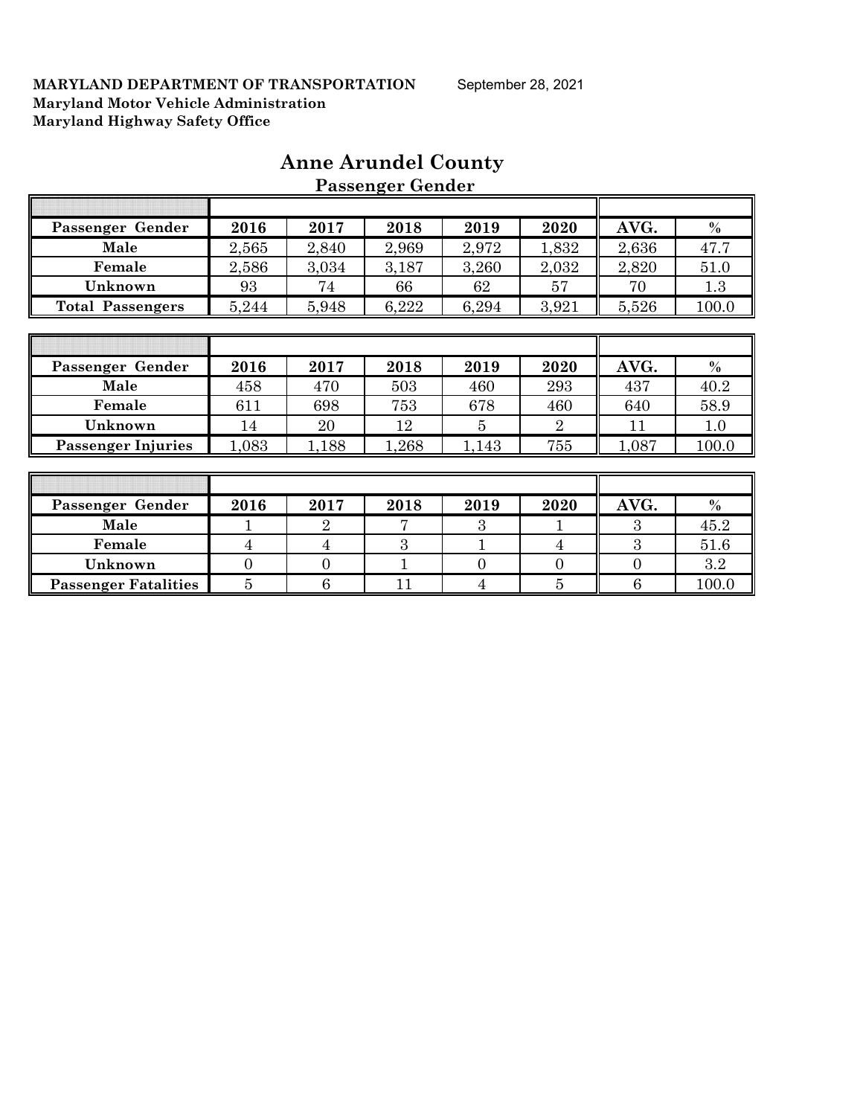| Passenger Gender          | 2016           | 2017           | 2018  | 2019           | 2020           | AVG.           | $\%$          |
|---------------------------|----------------|----------------|-------|----------------|----------------|----------------|---------------|
| Male                      | 2,565          | 2,840          | 2,969 | 2,972          | 1,832          | 2,636          | 47.7          |
| Female                    | 2,586          | 3,034          | 3,187 | 3,260          | 2,032          | 2,820          | 51.0          |
| Unknown                   | 93             | 74             | 66    | 62             | 57             | 70             | 1.3           |
| <b>Total Passengers</b>   | 5,244          | 5,948          | 6,222 | 6,294          | 3,921          | 5,526          | 100.0         |
|                           |                |                |       |                |                |                |               |
|                           |                |                |       |                |                |                |               |
| Passenger Gender          | 2016           | 2017           | 2018  | 2019           | 2020           | AVG.           | $\%$          |
| Male                      | 458            | 470            | 503   | 460            | 293            | 437            | 40.2          |
| Female                    | 611            | 698            | 753   | 678            | 460            | 640            | 58.9          |
| Unknown                   | 14             | 20             | 12    | 5              | $\overline{2}$ | 11             | 1.0           |
| <b>Passenger Injuries</b> | 1,083          | 1,188          | 1,268 | 1,143          | 755            | 1,087          | 100.0         |
|                           |                |                |       |                |                |                |               |
|                           |                |                |       |                |                |                |               |
| Passenger Gender          | 2016           | 2017           | 2018  | 2019           | 2020           | AVG.           | $\frac{0}{0}$ |
| Male                      |                | $\overline{2}$ |       | 3              |                | 3              | 45.2          |
| Female                    | 4              | 4              | 3     |                | 4              | 3              | 51.6          |
| Unknown                   | $\overline{0}$ | $\overline{0}$ |       | $\overline{0}$ | $\overline{0}$ | $\overline{0}$ | $3.2\,$       |

**Passenger Fatalities** 5 6 6 11 4 5 6 100.0

## **Anne Arundel County Passenger Gender**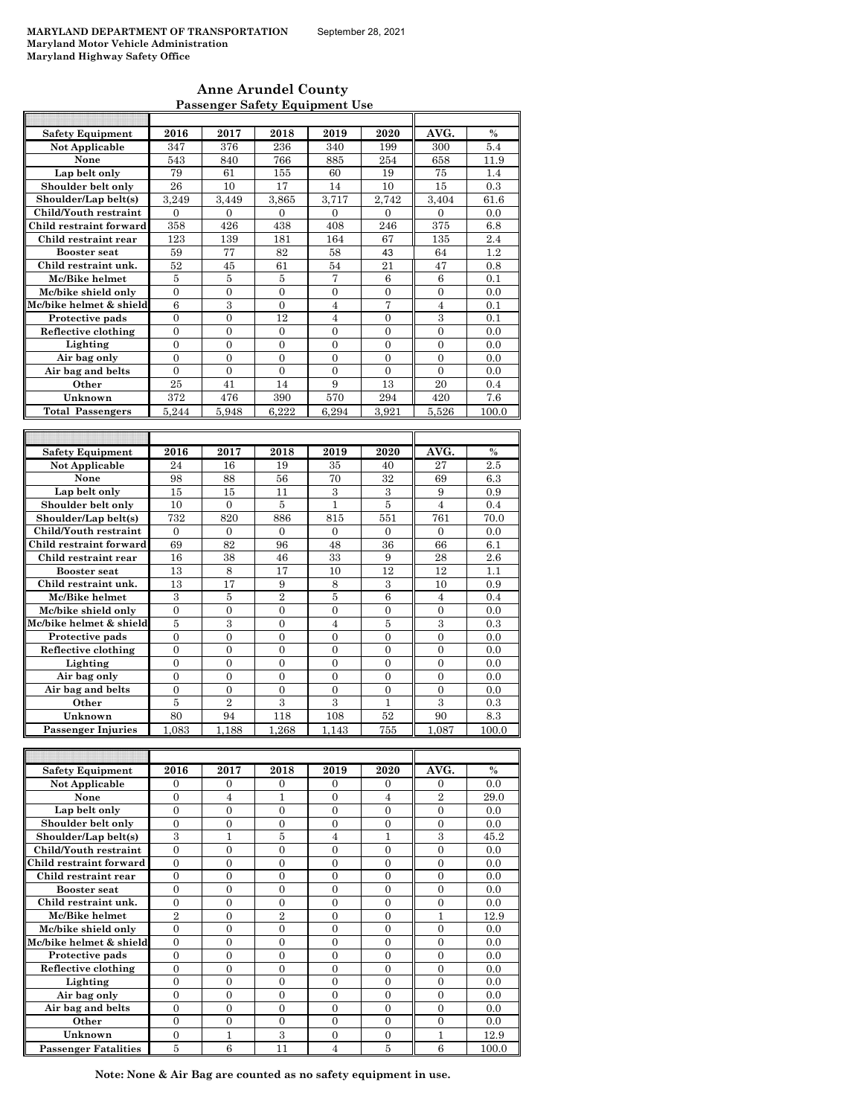## **Anne Arundel County Passenger Safety Equipment Use**

| <b>Safety Equipment</b>   | 2016           | 2017             | 2018             | 2019           | 2020           | AVG.           | $\%$          |
|---------------------------|----------------|------------------|------------------|----------------|----------------|----------------|---------------|
| Not Applicable            | 347            | 376              | 236              | 340            | 199            | 300            | 5.4           |
| None                      | 543            | 840              | 766              | 885            | 254            | 658            | 11.9          |
| Lap belt only             | 79             | 61               | 155              | 60             | 19             | 75             | 1.4           |
| Shoulder belt only        | 26             | 10               | 17               | 14             | 10             | 15             | 0.3           |
| Shoulder/Lap belt(s)      | 3,249          | 3,449            | 3,865            | 3,717          | 2,742          | 3,404          | 61.6          |
| Child/Youth restraint     | $\Omega$       | $\Omega$         | $\Omega$         | $\theta$       | $\theta$       | $\theta$       | 0.0           |
| Child restraint forward   | 358            | 426              | 438              | 408            | 246            | 375            | 6.8           |
| Child restraint rear      | 123            | 139              | 181              | 164            | 67             | 135            | 2.4           |
| <b>Booster</b> seat       | 59             | 77               | 82               | 58             | 43             | 64             | 1.2           |
| Child restraint unk.      | 52             | 45               | 61               | 54             | 21             | 47             | 0.8           |
| Mc/Bike helmet            | 5              | 5                | 5                | 7              | 6              | 6              | 0.1           |
| Mc/bike shield only       | $\overline{0}$ | $\overline{0}$   | $\overline{0}$   | $\mathbf{0}$   | $\mathbf{0}$   | $\overline{0}$ | 0.0           |
| Mc/bike helmet & shield   | 6              | 3                | $\overline{0}$   | $\overline{4}$ | 7              | $\overline{4}$ | 0.1           |
| Protective pads           | $\overline{0}$ | $\overline{0}$   | 12               | $\overline{4}$ | $\overline{0}$ | 3              | 0.1           |
| Reflective clothing       | $\overline{0}$ | $\overline{0}$   | $\overline{0}$   | $\overline{0}$ | $\overline{0}$ | $\overline{0}$ | 0.0           |
| Lighting                  | $\overline{0}$ | $\overline{0}$   | $\overline{0}$   | $\mathbf{0}$   | $\overline{0}$ | $\overline{0}$ | 0.0           |
| Air bag only              | $\theta$       | $\theta$         | $\theta$         | $\theta$       | $\theta$       | $\theta$       | 0.0           |
| Air bag and belts         | $\mathbf{0}$   | $\overline{0}$   | $\overline{0}$   | $\overline{0}$ | $\mathbf{0}$   | $\overline{0}$ | 0.0           |
| Other                     | 25             | 41               | 14               | 9              | 13             | 20             | 0.4           |
| Unknown                   | 372            | 476              | 390              | 570            | 294            | 420            | 7.6           |
| <b>Total Passengers</b>   | 5.244          | 5.948            | 6.222            | 6.294          | 3.921          | 5.526          | 100.0         |
|                           |                |                  |                  |                |                |                |               |
|                           |                |                  |                  |                |                |                |               |
| <b>Safety Equipment</b>   | 2016           | 2017             | 2018             | 2019           | 2020           | AVG.           | $\frac{0}{0}$ |
| Not Applicable            | 24             | 16               | 19               | 35             | 40             | 27             | 2.5           |
| None                      | 98             | 88               | 56               | 70             | 32             | 69             | 6.3           |
| Lap belt only             | 15             | 15               | 11               | 3              | 3              | 9              | 0.9           |
| Shoulder belt only        | 10             | $\boldsymbol{0}$ | 5                | $\mathbf{1}$   | 5              | $\overline{4}$ | 0.4           |
| Shoulder/Lap belt(s)      | 732            | 820              | 886              | 815            | 551            | 761            | 70.0          |
| Child/Youth restraint     | $\overline{0}$ | $\Omega$         | $\overline{0}$   | $\mathbf{0}$   | $\mathbf{0}$   | $\overline{0}$ | 0.0           |
| Child restraint forward   | 69             | 82               | 96               | 48             | 36             | 66             | 6.1           |
| Child restraint rear      | 16             | 38               | 46               | 33             | 9              | 28             | 2.6           |
| <b>Booster</b> seat       | 13             | $\,8\,$          | 17               | 10             | 12             | 12             | 1.1           |
| Child restraint unk.      | 13             | 17               | 9                | 8              | 3              | 10             | 0.9           |
| Mc/Bike helmet            | 3              | 5                | $\overline{2}$   | $\overline{5}$ | 6              | $\overline{4}$ | 0.4           |
| Mc/bike shield only       | $\overline{0}$ | $\overline{0}$   | $\overline{0}$   | $\overline{0}$ | $\overline{0}$ | $\overline{0}$ | 0.0           |
| Mc/bike helmet & shield   | $\overline{5}$ | 3                | $\boldsymbol{0}$ | $\overline{4}$ | 5              | 3              | 0.3           |
| Protective pads           | $\overline{0}$ | $\overline{0}$   | $\overline{0}$   | $\overline{0}$ | $\overline{0}$ | $\overline{0}$ | 0.0           |
| Reflective clothing       | 0              | $\overline{0}$   | $\overline{0}$   | $\mathbf{0}$   | $\mathbf{0}$   | $\overline{0}$ | 0.0           |
| Lighting                  | $\overline{0}$ | $\overline{0}$   | $\overline{0}$   | $\mathbf{0}$   | $\overline{0}$ | $\overline{0}$ | 0.0           |
| Air bag only              | $\theta$       | $\theta$         | $\theta$         | $\theta$       | $\overline{0}$ | $\theta$       | 0.0           |
| Air bag and belts         | $\overline{0}$ | $\overline{0}$   | $\overline{0}$   | $\mathbf{0}$   | $\mathbf{0}$   | $\overline{0}$ | 0.0           |
| Other                     | $\overline{5}$ | $\overline{2}$   | $\overline{3}$   | $\overline{3}$ | $\mathbf{1}$   | 3              | 0.3           |
| Unknown                   | 80             | 94               | 118              | 108            | 52             | 90             | 8.3           |
| <b>Passenger Injuries</b> | 1,083          | 1,188            | 1,268            | 1,143          | 755            | 1,087          | 100.0         |
|                           |                |                  |                  |                |                |                |               |
|                           |                |                  |                  |                |                |                |               |
| <b>Safety Equipment</b>   | 2016           | 2017             | 2018             | 2019           | 2020           | AVG.           | $\%$          |
| Not Applicable            | $\overline{0}$ | $\boldsymbol{0}$ | $\boldsymbol{0}$ | $\mathbf{0}$   | $\mathbf{0}$   | 0              | 0.0           |
|                           |                |                  |                  |                |                |                |               |

| Safety Equipment            | 2016                        | 2017           | 2018           | 2019           | 2020           | AVG.           | $\%$  |
|-----------------------------|-----------------------------|----------------|----------------|----------------|----------------|----------------|-------|
| Not Applicable              | $\Omega$                    | $\Omega$       | $\Omega$       | $\Omega$       | $\Omega$       | $\Omega$       | 0.0   |
| None                        | $\Omega$                    | 4              | 1              | $\Omega$       | 4              | $\overline{2}$ | 29.0  |
| Lap belt only               | $\Omega$                    | $\theta$       | $\theta$       | $\theta$       | $\Omega$       | $\Omega$       | 0.0   |
| Shoulder belt only          | $\Omega$                    | $\Omega$       | $\overline{0}$ | $\Omega$       | $\theta$       | $\Omega$       | 0.0   |
| Shoulder/Lap belt(s)        | 3                           | $\mathbf{1}$   | 5              | 4              | 1              | 3              | 45.2  |
| Child/Youth restraint       | $\Omega$                    | $\theta$       | $\theta$       | $\Omega$       | $\Omega$       | $\Omega$       | 0.0   |
| Child restraint forward     | $\Omega$                    | $\Omega$       | $\overline{0}$ | $\overline{0}$ | $\overline{0}$ | $\Omega$       | 0.0   |
| Child restraint rear        | $\Omega$                    | $\theta$       | $\theta$       | $\theta$       | $\Omega$       | $\Omega$       | 0.0   |
| <b>Booster seat</b>         | $\Omega$                    | $\Omega$       | $\Omega$       | $\Omega$       | $\theta$       | $\Omega$       | 0.0   |
| Child restraint unk.        | $\Omega$                    | $\Omega$       | $\Omega$       | $\Omega$       | $\theta$       | $\Omega$       | 0.0   |
| Mc/Bike helmet              | $\mathcal{D}_{\mathcal{L}}$ | $\theta$       | $\overline{2}$ | $\theta$       | $\Omega$       | 1              | 12.9  |
| Mc/bike shield only         | $\Omega$                    | $\overline{0}$ | $\overline{0}$ | $\mathbf{0}$   | $\mathbf{0}$   | $\Omega$       | 0.0   |
| Mc/bike helmet & shield     | $\Omega$                    | $\theta$       | $\theta$       | $\mathbf{0}$   | $\Omega$       | $\Omega$       | 0.0   |
| Protective pads             | $\Omega$                    | $\Omega$       | $\Omega$       | $\Omega$       | $\Omega$       | $\Omega$       | 0.0   |
| Reflective clothing         | $\Omega$                    | $\Omega$       | $\theta$       | $\Omega$       | $\Omega$       | $\Omega$       | 0.0   |
| Lighting                    | $\Omega$                    | $\Omega$       | $\Omega$       | $\Omega$       | $\theta$       | $\Omega$       | 0.0   |
| Air bag only                | $\Omega$                    | $\Omega$       | $\Omega$       | $\Omega$       | $\Omega$       | $\Omega$       | 0.0   |
| Air bag and belts           | $\Omega$                    | $\overline{0}$ | $\theta$       | $\mathbf{0}$   | $\mathbf{0}$   | $\theta$       | 0.0   |
| Other                       | $\Omega$                    | $\Omega$       | $\Omega$       | $\Omega$       | $\theta$       | $\Omega$       | 0.0   |
| Unknown                     | $\Omega$                    | 1              | 3              | $\Omega$       | $\Omega$       | 1              | 12.9  |
| <b>Passenger Fatalities</b> | 5                           | 6              | 11             | 4              | 5              | 6              | 100.0 |

**Note: None & Air Bag are counted as no safety equipment in use.**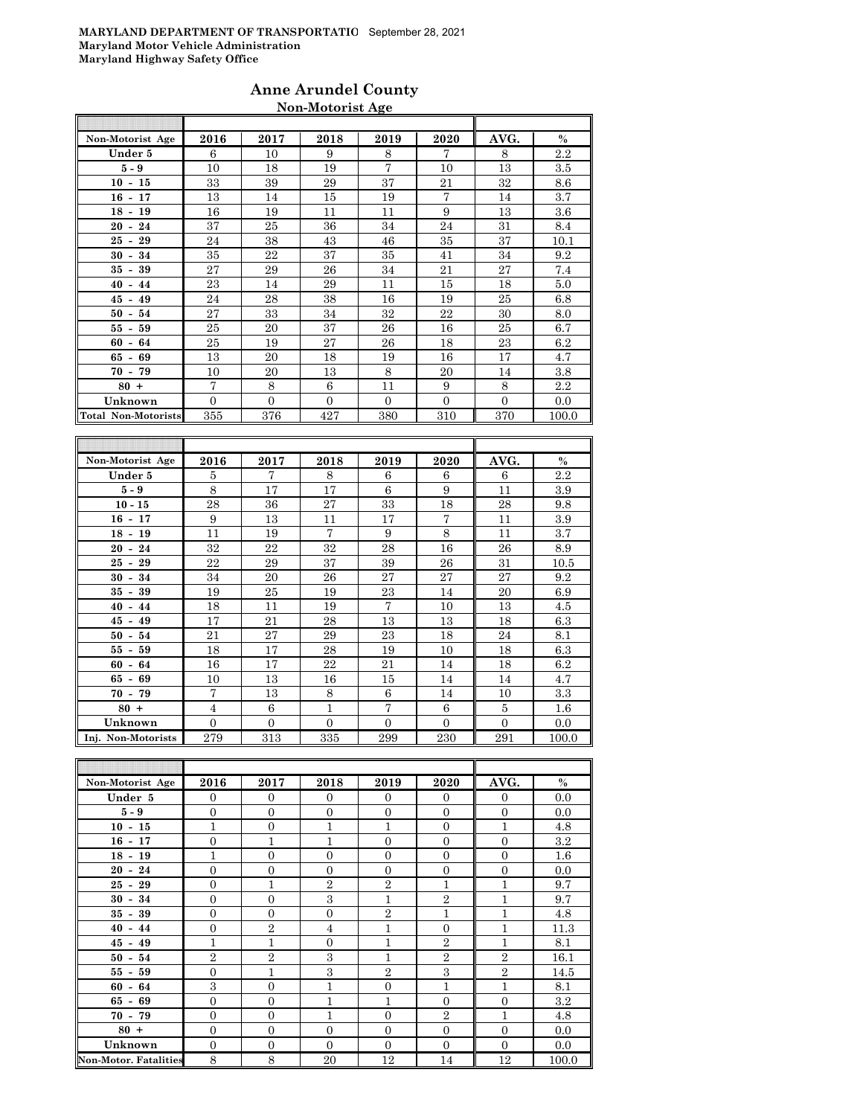## **Anne Arundel County Non-Motorist Age**

| Non-Motorist Age                     | 2016     | 2017     | 2018     | 2019     | 2020     | AVG.     | $\frac{0}{0}$ |
|--------------------------------------|----------|----------|----------|----------|----------|----------|---------------|
| Under 5                              | 6        | 10       | 9        | 8        | 7        | 8        | 2.2           |
| $5-9$                                | 10       | 18       | 19       | 7        | 10       | 13       | 3.5           |
| $10 -$<br>15                         | 33       | 39       | 29       | 37       | 21       | 32       | 8.6           |
| $16 - 17$                            | 13       | 14       | 15       | 19       | 7        | 14       | 3.7           |
| 18<br>19<br>$\blacksquare$           | 16       | 19       | 11       | 11       | 9        | 13       | 3.6           |
| 24<br>20<br>$\sim$                   | 37       | 25       | 36       | 34       | 24       | 31       | 8.4           |
| $25 -$<br>29                         | 24       | 38       | 43       | 46       | 35       | 37       | 10.1          |
| 30<br>34<br>$\blacksquare$           | 35       | 22       | 37       | 35       | 41       | 34       | 9.2           |
| 35<br>39<br>$\overline{\phantom{a}}$ | 27       | 29       | 26       | 34       | 21       | 27       | 7.4           |
| 40<br>44<br>$\overline{\phantom{a}}$ | 23       | 14       | 29       | 11       | 15       | 18       | 5.0           |
| 45<br>49<br>$\overline{\phantom{a}}$ | 24       | 28       | 38       | 16       | 19       | 25       | 6.8           |
| 50<br>54<br>$\overline{\phantom{a}}$ | 27       | 33       | 34       | 32       | 22       | 30       | 8.0           |
| 59<br>55<br>$\overline{\phantom{a}}$ | 25       | 20       | 37       | 26       | 16       | 25       | 6.7           |
| 64<br>60<br>$\sim$                   | 25       | 19       | 27       | 26       | 18       | 23       | $6.2\,$       |
| 65 -<br>69                           | 13       | 20       | 18       | 19       | 16       | 17       | 4.7           |
| 79<br>70 -                           | 10       | 20       | 13       | 8        | 20       | 14       | 3.8           |
| $80 +$                               | 7        | 8        | 6        | 11       | 9        | 8        | 2.2           |
| Unknown                              | $\theta$ | $\Omega$ | $\Omega$ | $\Omega$ | $\Omega$ | $\Omega$ | 0.0           |
| Total Non-Motorists                  | 355      | 376      | 427      | 380      | 310      | 370      | 100.0         |

| Non-Motorist Age   | 2016           | 2017     | 2018           | 2019     | 2020     | AVG.     | $\%$    |
|--------------------|----------------|----------|----------------|----------|----------|----------|---------|
| Under 5            | 5              | 7        | 8              | 6        | 6        | 6        | $2.2\,$ |
| $5-9$              | 8              | 17       | 17             | 6        | 9        | 11       | 3.9     |
| $10 - 15$          | 28             | 36       | 27             | 33       | 18       | 28       | 9.8     |
| $16 - 17$          | 9              | 13       | 11             | 17       | 7        | 11       | 3.9     |
| $18 - 19$          | 11             | 19       | $\overline{7}$ | 9        | 8        | 11       | 3.7     |
| $20 - 24$          | 32             | 22       | 32             | 28       | 16       | 26       | 8.9     |
| $25 -$<br>29       | 22             | 29       | 37             | 39       | 26       | 31       | 10.5    |
| $30 -$<br>34       | 34             | 20       | 26             | 27       | 27       | 27       | 9.2     |
| $35 -$<br>39       | 19             | 25       | 19             | 23       | 14       | 20       | 6.9     |
| $40 -$<br>44       | 18             | 11       | 19             | 7        | 10       | 13       | 4.5     |
| $45 - 49$          | 17             | 21       | 28             | 13       | 13       | 18       | 6.3     |
| $50 - 54$          | 21             | 27       | 29             | 23       | 18       | 24       | 8.1     |
| $55-$<br>59        | 18             | 17       | 28             | 19       | 10       | 18       | 6.3     |
| $60 -$<br>64       | 16             | 17       | 22             | 21       | 14       | 18       | $6.2\,$ |
| $65 -$<br>69       | 10             | 13       | 16             | 15       | 14       | 14       | 4.7     |
| $70 - 79$          | $\overline{7}$ | 13       | 8              | 6        | 14       | 10       | 3.3     |
| $80 +$             | $\overline{4}$ | 6        | $\mathbf{1}$   | 7        | 6        | 5        | 1.6     |
| Unknown            | $\Omega$       | $\theta$ | $\Omega$       | $\Omega$ | $\Omega$ | $\Omega$ | 0.0     |
| Inj. Non-Motorists | 279            | 313      | 335            | 299      | 230      | 291      | 100.0   |

| Non-Motorist Age             | 2016           | 2017           | 2018           | 2019           | 2020           | AVG.           | $\%$    |
|------------------------------|----------------|----------------|----------------|----------------|----------------|----------------|---------|
| Under 5                      | $\overline{0}$ | $\theta$       | $\theta$       | $\overline{0}$ | $\theta$       | $\mathbf{0}$   | 0.0     |
| $5-9$                        | $\mathbf{0}$   | $\overline{0}$ | $\overline{0}$ | $\mathbf{0}$   | $\mathbf{0}$   | $\mathbf{0}$   | 0.0     |
| $10 - 15$                    | 1              | $\overline{0}$ | $\mathbf{1}$   | 1              | $\overline{0}$ | $\mathbf{1}$   | 4.8     |
| $16 - 17$                    | $\overline{0}$ | $\mathbf{1}$   | 1              | $\overline{0}$ | $\overline{0}$ | $\mathbf{0}$   | 3.2     |
| $18 - 19$                    | $\mathbf{1}$   | $\overline{0}$ | $\theta$       | $\Omega$       | $\overline{0}$ | $\Omega$       | 1.6     |
| $20 - 24$                    | $\overline{0}$ | $\overline{0}$ | $\overline{0}$ | $\overline{0}$ | $\overline{0}$ | $\overline{0}$ | 0.0     |
| $25 - 29$                    | $\mathbf{0}$   | $\mathbf{1}$   | $\mathbf{2}$   | $\overline{2}$ | 1              | $\mathbf{1}$   | 9.7     |
| $30 - 34$                    | $\overline{0}$ | $\overline{0}$ | 3              | $\mathbf{1}$   | $\overline{2}$ | $\mathbf{1}$   | 9.7     |
| $35 - 39$                    | $\mathbf{0}$   | $\overline{0}$ | $\overline{0}$ | $\overline{2}$ | $\mathbf{1}$   | $\mathbf{1}$   | 4.8     |
| $40 - 44$                    | $\theta$       | $\overline{2}$ | $\overline{4}$ | 1              | $\overline{0}$ | $\mathbf{1}$   | 11.3    |
| $45 - 49$                    | $\mathbf{1}$   | $\mathbf{1}$   | $\mathbf{0}$   | 1              | $\overline{2}$ | $\mathbf{1}$   | 8.1     |
| $50 - 54$                    | $\overline{2}$ | $\overline{2}$ | 3              | 1              | $\overline{2}$ | $\overline{2}$ | 16.1    |
| $55 - 59$                    | $\overline{0}$ | $\mathbf{1}$   | 3              | $\overline{2}$ | 3              | $\overline{2}$ | 14.5    |
| $60 - 64$                    | 3              | $\overline{0}$ | $\mathbf{1}$   | $\overline{0}$ | $\mathbf{1}$   | $\mathbf{1}$   | 8.1     |
| $65 - 69$                    | $\overline{0}$ | $\overline{0}$ | $\mathbf{1}$   | $\mathbf{1}$   | $\overline{0}$ | $\overline{0}$ | $3.2\,$ |
| $70 - 79$                    | $\mathbf{0}$   | $\overline{0}$ | 1              | $\overline{0}$ | $\overline{2}$ | $\mathbf{1}$   | 4.8     |
| $80 +$                       | $\mathbf{0}$   | $\overline{0}$ | $\mathbf{0}$   | $\mathbf{0}$   | $\overline{0}$ | $\overline{0}$ | 0.0     |
| Unknown                      | $\overline{0}$ | $\overline{0}$ | $\Omega$       | $\Omega$       | $\overline{0}$ | $\Omega$       | 0.0     |
| <b>Non-Motor. Fatalities</b> | 8              | 8              | 20             | 12             | 14             | 12             | 100.0   |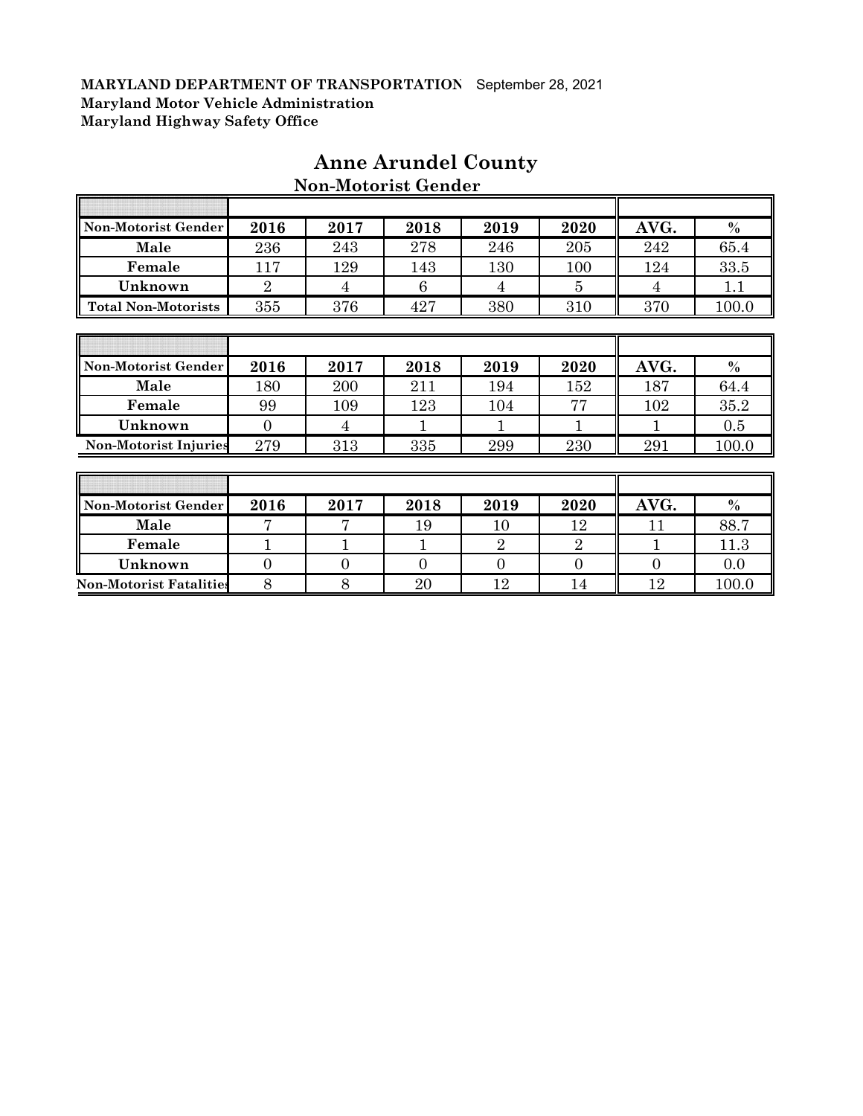F

| Non-Motorist Gender          | 2016           | 2017 | 2018 | 2019           | 2020           | AVG. | $\%$  |
|------------------------------|----------------|------|------|----------------|----------------|------|-------|
| Male                         | 236            | 243  | 278  | 246            | 205            | 242  | 65.4  |
| Female                       | 117            | 129  | 143  | 130            | 100            | 124  | 33.5  |
| Unknown                      | $\overline{2}$ | 4    | 6    | 4              | 5              | 4    | 1.1   |
| <b>Total Non-Motorists</b>   | 355            | 376  | 427  | 380            | 310            | 370  | 100.0 |
|                              |                |      |      |                |                |      |       |
|                              |                |      |      |                |                |      |       |
| Non-Motorist Gender          | 2016           | 2017 | 2018 | 2019           | 2020           | AVG. | $\%$  |
| Male                         | 180            | 200  | 211  | 194            | 152            | 187  | 64.4  |
| Female                       | 99             | 109  | 123  | 104            | 77             | 102  | 35.2  |
| Unknown                      | $\theta$       | 4    |      |                |                |      | 0.5   |
| <b>Non-Motorist Injuries</b> | 279            | 313  | 335  | 299            | 230            | 291  | 100.0 |
|                              |                |      |      |                |                |      |       |
|                              |                |      |      |                |                |      |       |
| Non-Motorist Gender          | 2016           | 2017 | 2018 | 2019           | 2020           | AVG. | $\%$  |
| Male                         | 7              | 7    | 19   | 10             | 12             | 11   | 88.7  |
| Female                       |                |      |      | $\overline{2}$ | $\overline{2}$ | 1    | 11.3  |

**Unknown** 0 0 0 0 0 0 0.0 **Non-Motorist Fatalities** 8 8 8 20 12 14 12 100.0

## **Anne Arundel County Non-Motorist Gender**

T

1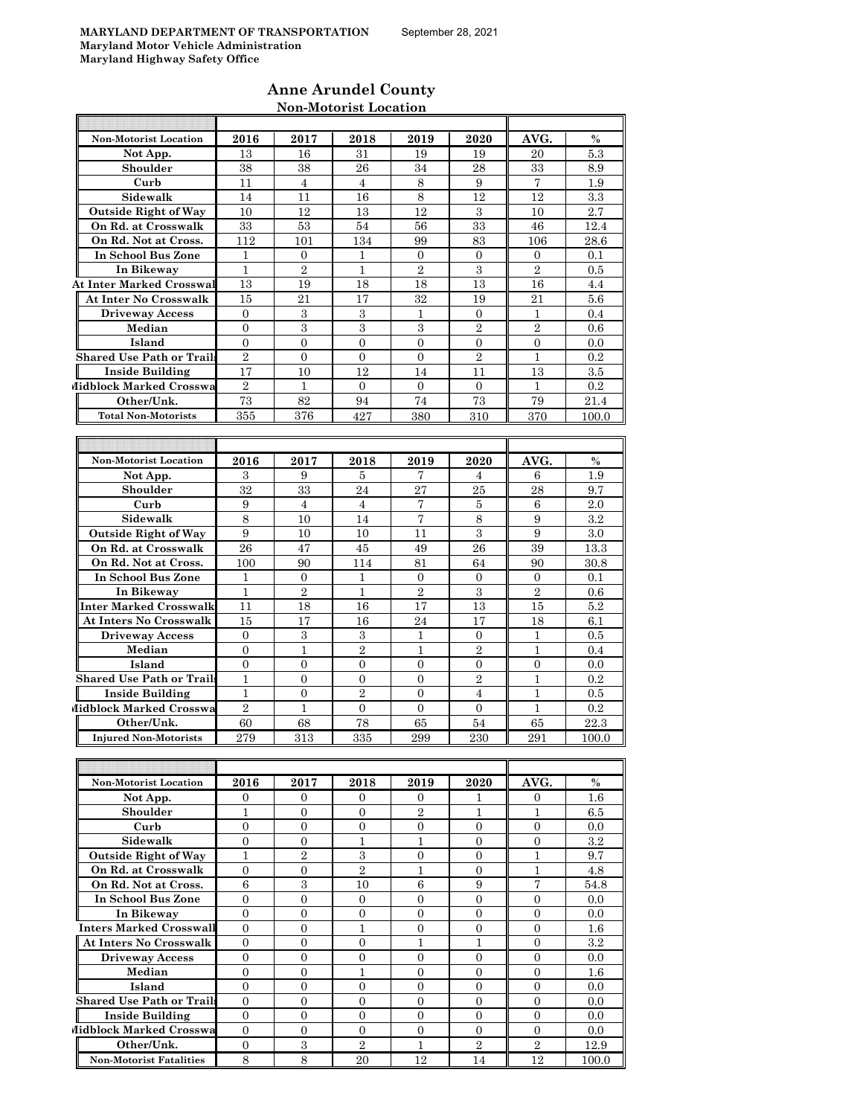ā

T

 $\overline{\mathbb{T}}$ 

## **Anne Arundel County Non-Motorist Location**

| <b>Non-Motorist Location</b>     | 2016           | 2017             | 2018             | 2019           | 2020           | AVG.           | $\%$          |
|----------------------------------|----------------|------------------|------------------|----------------|----------------|----------------|---------------|
| Not App.                         | 13             | 16               | 31               | 19             | 19             | 20             | 5.3           |
| Shoulder                         | 38             | 38               | 26               | 34             | 28             | 33             | 8.9           |
| Curb                             | 11             | $\overline{4}$   | $\overline{4}$   | $\,8\,$        | 9              | $\overline{7}$ | 1.9           |
| Sidewalk                         |                |                  |                  |                |                |                |               |
|                                  | 14             | 11               | 16               | 8              | 12             | 12             | 3.3           |
| <b>Outside Right of Way</b>      | 10             | 12               | 13               | 12             | 3              | 10             | 2.7           |
| On Rd. at Crosswalk              | 33             | 53               | 54               | 56             | 33             | 46             | 12.4          |
| On Rd. Not at Cross.             | 112            | 101              | 134              | 99             | 83             | 106            | 28.6          |
| In School Bus Zone               | $\mathbf{1}$   | $\mathbf{0}$     | $\mathbf{1}$     | 0              | $\mathbf{0}$   | 0              | 0.1           |
| In Bikeway                       | $\mathbf{1}$   | $\sqrt{2}$       | 1                | $\overline{2}$ | 3              | $\overline{2}$ | $0.5\,$       |
| <b>At Inter Marked Crosswal</b>  | 13             | 19               | 18               | 18             | 13             | 16             | 4.4           |
| <b>At Inter No Crosswalk</b>     | 15             | 21               | 17               | 32             | 19             | 21             | $5.6\,$       |
| <b>Driveway Access</b>           | $\overline{0}$ | $\,3$            | 3                | 1              | $\overline{0}$ | $\mathbf 1$    | 0.4           |
|                                  |                | 3                | 3                |                |                |                |               |
| Median                           | $\mathbf{0}$   |                  |                  | 3              | $\overline{2}$ | $\overline{2}$ | 0.6           |
| Island                           | $\overline{0}$ | $\overline{0}$   | $\overline{0}$   | $\mathbf{0}$   | $\mathbf{0}$   | $\mathbf{0}$   | 0.0           |
| <b>Shared Use Path or Trails</b> | $\overline{2}$ | $\overline{0}$   | $\overline{0}$   | $\overline{0}$ | $\overline{2}$ | $\mathbf{1}$   | 0.2           |
| <b>Inside Building</b>           | 17             | 10               | 12               | 14             | 11             | 13             | 3.5           |
| Midblock Marked Crosswa          | $\overline{2}$ | $\mathbf{1}$     | $\overline{0}$   | $\overline{0}$ | $\Omega$       | $\mathbf{1}$   | 0.2           |
| Other/Unk.                       | 73             | 82               | 94               | 74             | 73             | 79             | 21.4          |
| <b>Total Non-Motorists</b>       | 355            | 376              | 427              | 380            | 310            | 370            | 100.0         |
|                                  |                |                  |                  |                |                |                |               |
|                                  |                |                  |                  |                |                |                |               |
|                                  |                |                  |                  |                |                |                |               |
| <b>Non-Motorist Location</b>     | 2016           | 2017             | 2018             | 2019           | 2020           | AVG.           | $\frac{0}{0}$ |
| Not App.                         | 3              | 9                | 5                | 7              | 4              | 6              | 1.9           |
| Shoulder                         | 32             | 33               | 24               | 27             | 25             | 28             | 9.7           |
| Curb                             | 9              | $\overline{4}$   | $\overline{4}$   | $\overline{7}$ | 5              | 6              | 2.0           |
| Sidewalk                         | 8              | 10               | 14               | $\overline{7}$ | $\,8\,$        | 9              | 3.2           |
| <b>Outside Right of Way</b>      | 9              | 10               | 10               | 11             | $\,3$          | 9              | $3.0\,$       |
| On Rd. at Crosswalk              | 26             | 47               | 45               | 49             | 26             | 39             | 13.3          |
| On Rd. Not at Cross.             | 100            | 90               | 114              | 81             | 64             | 90             | 30.8          |
|                                  | $\mathbf{1}$   | $\mathbf{0}$     | $\mathbf{1}$     | $\overline{0}$ | $\overline{0}$ | $\overline{0}$ | 0.1           |
| In School Bus Zone               |                |                  |                  |                |                |                |               |
| In Bikeway                       | $\mathbf{1}$   | $\overline{2}$   | 1                | $\overline{2}$ | 3              | $\overline{2}$ | 0.6           |
| Inter Marked Crosswalk           | 11             | 18               | 16               | 17             | 13             | 15             | 5.2           |
| <b>At Inters No Crosswalk</b>    | 15             | 17               | 16               | 24             | 17             | 18             | 6.1           |
| <b>Driveway Access</b>           | $\mathbf{0}$   | 3                | $\,3$            | $\mathbf{1}$   | $\mathbf{0}$   | $\mathbf{1}$   | 0.5           |
| Median                           | $\mathbf{0}$   | $\mathbf{1}$     | $\overline{2}$   | 1              | $\overline{2}$ | $\mathbf{1}$   | 0.4           |
| Island                           | $\overline{0}$ | $\overline{0}$   | $\overline{0}$   | $\overline{0}$ | $\overline{0}$ | $\overline{0}$ | 0.0           |
| <b>Shared Use Path or Trails</b> | $\mathbf{1}$   | $\overline{0}$   | $\boldsymbol{0}$ | $\overline{0}$ | $\overline{2}$ | $\mathbf{1}$   | 0.2           |
| <b>Inside Building</b>           | $\mathbf 1$    | 0                | 2                | $\mathbf{0}$   | $\overline{4}$ | 1              | $0.5\,$       |
| Midblock Marked Crosswa          | $\overline{2}$ | $\mathbf{1}$     | $\overline{0}$   | $\mathbf{0}$   | $\mathbf{0}$   | $\mathbf{1}$   | $\rm 0.2$     |
|                                  |                |                  |                  |                |                |                |               |
| Other/Unk.                       | 60             | 68               | 78               | 65             | 54             | 65             | 22.3          |
| <b>Injured Non-Motorists</b>     | 279            | 313              | 335              | 299            | 230            | 291            | 100.0         |
|                                  |                |                  |                  |                |                |                |               |
|                                  |                |                  |                  |                |                |                |               |
| Non-Motorist Location            | 2016           | 2017             | 2018             | 2019           | 2020           | AVG.           | $\frac{0}{0}$ |
| Not App.                         | $\overline{0}$ | $\overline{0}$   | $\overline{0}$   | $\overline{0}$ | 1              | $\overline{0}$ | 1.6           |
| Shoulder                         | $\mathbf{1}$   | $\overline{0}$   | $\mathbf{0}$     | $\,2$          | 1              | 1              | 6.5           |
| Curb                             | $\overline{0}$ | $\overline{0}$   | $\overline{0}$   | $\overline{0}$ | $\overline{0}$ | $\overline{0}$ | 0.0           |
|                                  | $\mathbf{0}$   | $\overline{0}$   |                  |                |                |                |               |
| Sidewalk                         |                |                  | $\mathbf{1}$     | $\mathbf{1}$   | $\overline{0}$ | $\mathbf{0}$   | $3.2\,$       |
| <b>Outside Right of Way</b>      | $\mathbf{1}$   | $\sqrt{2}$       | 3                | $\mathbf{0}$   | $\mathbf{0}$   | $\mathbf 1$    | 9.7           |
| On Rd. at Crosswalk              | 0              | 0                | $\overline{2}$   | 1              | $\mathbf{0}$   | 1              | 4.8           |
| On Rd. Not at Cross.             | 6              | 3                | 10               | 6              | 9              | $\overline{7}$ | 54.8          |
| In School Bus Zone               |                |                  |                  |                |                |                | 0.0           |
| In Bikeway                       | $\mathbf{0}$   | $\boldsymbol{0}$ | $\boldsymbol{0}$ | $\mathbf{0}$   | $\overline{0}$ | $\overline{0}$ |               |
|                                  | $\overline{0}$ | $\overline{0}$   | 0                | $\overline{0}$ | $\overline{0}$ | $\mathbf{0}$   | $0.0\,$       |
| <b>Inters Marked Crosswall</b>   | $\overline{0}$ | $\overline{0}$   | $\mathbf{1}$     | $\overline{0}$ | $\overline{0}$ | $\overline{0}$ | $1.6\,$       |
|                                  |                |                  |                  |                |                |                |               |
| At Inters No Crosswalk           | $\overline{0}$ | $\overline{0}$   | $\overline{0}$   | $\mathbf{1}$   | $\mathbf{1}$   | $\overline{0}$ | $3.2\,$       |
| <b>Driveway Access</b>           | $\overline{0}$ | $\overline{0}$   | 0                | $\overline{0}$ | $\overline{0}$ | $\overline{0}$ | 0.0           |
| Median                           | 0              | 0                | 1                | 0              | 0              | 0              | 1.6           |
| Island                           | $\overline{0}$ | $\overline{0}$   | $\overline{0}$   | $\overline{0}$ | $\overline{0}$ | $\overline{0}$ | 0.0           |
| <b>Shared Use Path or Trails</b> | $\overline{0}$ | $\overline{0}$   | $\overline{0}$   | $\overline{0}$ | $\overline{0}$ | $\overline{0}$ | 0.0           |
| <b>Inside Building</b>           | $\overline{0}$ | $\overline{0}$   | $\overline{0}$   | $\overline{0}$ | $\overline{0}$ | $\overline{0}$ | $0.0\,$       |
| Midblock Marked Crosswa          | $\overline{0}$ | $\overline{0}$   | $\overline{0}$   | $\overline{0}$ | $\overline{0}$ | $\mathbf{0}$   | 0.0           |
| Other/Unk.                       | $\overline{0}$ | 3                | $\overline{2}$   | $\mathbf{1}$   | $\overline{2}$ | $\overline{2}$ | 12.9          |
| <b>Non-Motorist Fatalities</b>   | 8              | 8                | 20               | 12             | 14             | 12             | 100.0         |